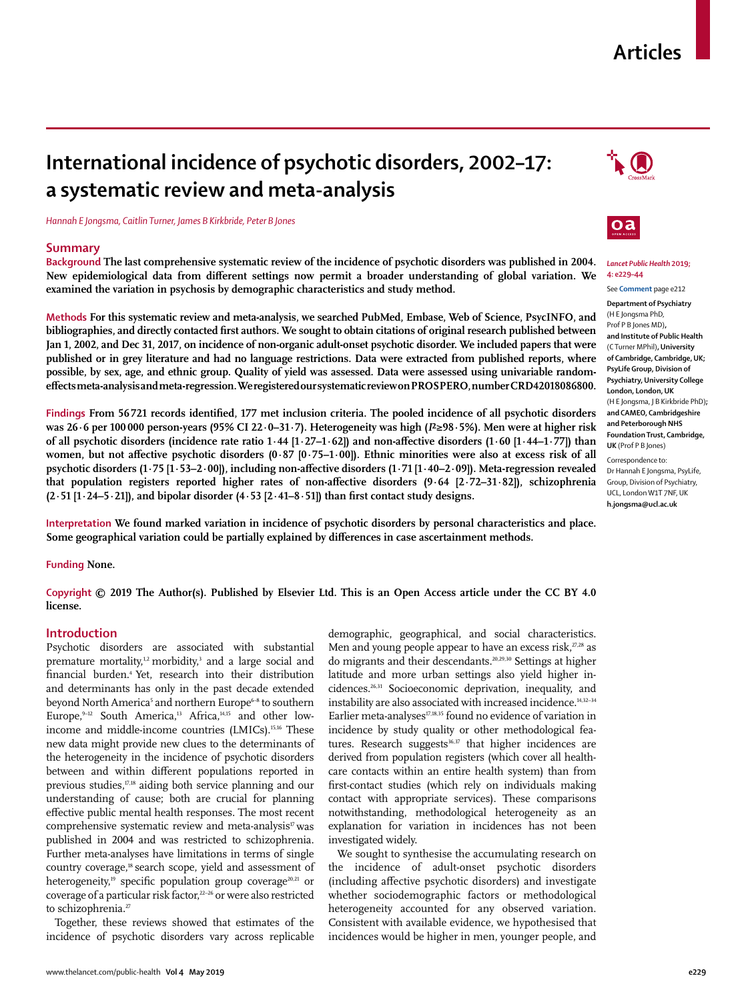# **Articles**

# **International incidence of psychotic disorders, 2002–17: a systematic review and meta-analysis**

*Hannah E Jongsma, Caitlin Turner, James B Kirkbride, Peter B Jones*

## **Summary**

**Background The last comprehensive systematic review of the incidence of psychotic disorders was published in 2004. New epidemiological data from different settings now permit a broader understanding of global variation. We examined the variation in psychosis by demographic characteristics and study method.**

**Methods For this systematic review and meta-analysis, we searched PubMed, Embase, Web of Science, PsycINFO, and bibliographies, and directly contacted first authors. We sought to obtain citations of original research published between Jan 1, 2002, and Dec 31, 2017, on incidence of non-organic adult-onset psychotic disorder. We included papers that were published or in grey literature and had no language restrictions. Data were extracted from published reports, where possible, by sex, age, and ethnic group. Quality of yield was assessed. Data were assessed using univariable randomeffects meta-analysis and meta-regression. We registered our systematic review on PROSPERO, number CRD42018086800.**

**Findings From 56 721 records identified, 177 met inclusion criteria. The pooled incidence of all psychotic disorders was 26·6 per 100 000 person-years (95% CI 22·0–31·7). Heterogeneity was high (***I***²≥98·5%). Men were at higher risk of all psychotic disorders (incidence rate ratio 1·44 [1·27–1·62]) and non-affective disorders (1·60 [1·44–1·77]) than women, but not affective psychotic disorders (0·87 [0·75–1·00]). Ethnic minorities were also at excess risk of all psychotic disorders (1·75 [1·53–2·00]), including non-affective disorders (1·71 [1·40–2·09]). Meta-regression revealed that population registers reported higher rates of non-affective disorders (9·64 [2·72–31·82]), schizophrenia (2·51 [1·24–5·21]), and bipolar disorder (4·53 [2·41–8·51]) than first contact study designs.**

**Interpretation We found marked variation in incidence of psychotic disorders by personal characteristics and place. Some geographical variation could be partially explained by differences in case ascertainment methods.**

**Funding None.**

**Copyright © 2019 The Author(s). Published by Elsevier Ltd. This is an Open Access article under the CC BY 4.0 license.**

# **Introduction**

Psychotic disorders are associated with substantial premature mortality,<sup>1,2</sup> morbidity,<sup>3</sup> and a large social and financial burden.4 Yet, research into their distribution and determinants has only in the past decade extended beyond North America<sup>5</sup> and northern Europe<sup>6-8</sup> to southern Europe,  $9-12$  South America,<sup>13</sup> Africa,  $14,15$  and other lowincome and middle-income countries (LMICs).<sup>15,16</sup> These new data might provide new clues to the determinants of the heterogeneity in the incidence of psychotic disorders between and within different populations reported in previous studies,<sup>17,18</sup> aiding both service planning and our understanding of cause; both are crucial for planning effective public mental health responses. The most recent comprehensive systematic review and meta-analysis<sup>17</sup> was published in 2004 and was restricted to schizophrenia. Further meta-analyses have limitations in terms of single country coverage,<sup>18</sup> search scope, yield and assessment of heterogeneity,<sup>19</sup> specific population group coverage<sup>20,21</sup> or coverage of a particular risk factor,<sup>22-26</sup> or were also restricted to schizophrenia.<sup>27</sup>

Together, these reviews showed that estimates of the incidence of psychotic disorders vary across replicable demographic, geographical, and social characteristics. Men and young people appear to have an excess risk, $z_{7,28}$  as do migrants and their descendants.20,29,30 Settings at higher latitude and more urban settings also yield higher incidences.26,31 Socioeconomic deprivation, inequality, and instability are also associated with increased incidence.<sup>14,32-34</sup> Earlier meta-analyses<sup>17,18,35</sup> found no evidence of variation in incidence by study quality or other methodological features. Research suggests<sup>36,37</sup> that higher incidences are derived from population registers (which cover all healthcare contacts within an entire health system) than from first-contact studies (which rely on individuals making contact with appropriate services). These comparisons notwithstanding, methodological heterogeneity as an explanation for variation in incidences has not been investigated widely.

We sought to synthesise the accumulating research on the incidence of adult-onset psychotic disorders (including affective psychotic disorders) and investigate whether sociodemographic factors or methodological heterogeneity accounted for any observed variation. Consistent with available evidence, we hypothesised that incidences would be higher in men, younger people, and





### *Lancet Public Health* **2019; 4: e229–44**

See **Comment** page e212 **Department of Psychiatry**  (H E Jongsma PhD, Prof P B Jones MD)**, and Institute of Public Health**  (C Turner MPhil)**, University of Cambridge, Cambridge, UK; PsyLife Group, Division of Psychiatry, University College London, London, UK**  (H E Jongsma, J B Kirkbride PhD)**; and CAMEO, Cambridgeshire and Peterborough NHS Foundation Trust, Cambridge, UK** (Prof P B Jones) Correspondence to: Dr Hannah E Jongsma, PsyLife,

Group, Division of Psychiatry, UCL, London W1T 7NF, UK **h.jongsma@ucl.ac.uk**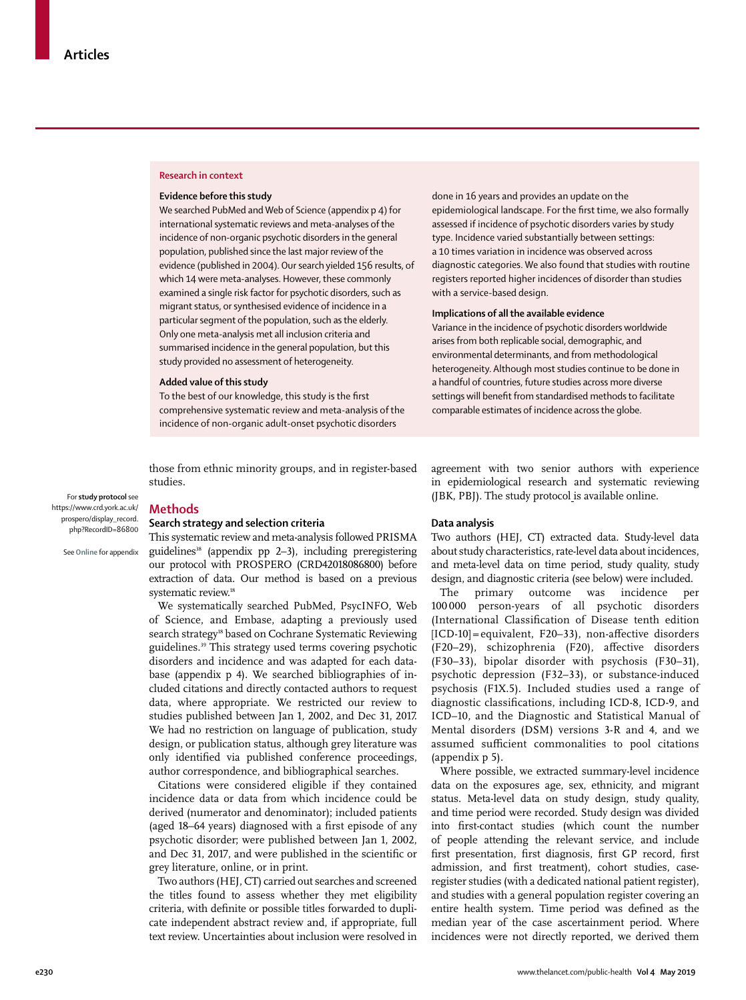#### **Research in context**

## **Evidence before this study**

We searched PubMed and Web of Science (appendix p 4) for international systematic reviews and meta-analyses of the incidence of non-organic psychotic disorders in the general population, published since the last major review of the evidence (published in 2004). Our search yielded 156 results, of which 14 were meta-analyses. However, these commonly examined a single risk factor for psychotic disorders, such as migrant status, or synthesised evidence of incidence in a particular segment of the population, such as the elderly. Only one meta-analysis met all inclusion criteria and summarised incidence in the general population, but this study provided no assessment of heterogeneity.

### **Added value of this study**

To the best of our knowledge, this study is the first comprehensive systematic review and meta-analysis of the incidence of non-organic adult-onset psychotic disorders

those from ethnic minority groups, and in register-based studies.

For **study protocol** see [https://www.crd.york.ac.uk/](https://www.crd.york.ac.uk/prospero/display_record.php?RecordID=86800) [prospero/display\\_record.](https://www.crd.york.ac.uk/prospero/display_record.php?RecordID=86800) [php?RecordID=86800](https://www.crd.york.ac.uk/prospero/display_record.php?RecordID=86800)

See **Online** for appendix

#### **Methods**

## **Search strategy and selection criteria**

This systematic review and meta-analysis followed PRISMA guidelines<sup>38</sup> (appendix pp 2-3), including preregistering our protocol with PROSPERO (CRD42018086800) before extraction of data. Our method is based on a previous systematic review.<sup>18</sup>

We systematically searched PubMed, PsycINFO, Web of Science, and Embase, adapting a previously used search strategy<sup>18</sup> based on Cochrane Systematic Reviewing guidelines.39 This strategy used terms covering psychotic disorders and incidence and was adapted for each database (appendix p 4). We searched bibliographies of included citations and directly contacted authors to request data, where appropriate. We restricted our review to studies published between Jan 1, 2002, and Dec 31, 2017. We had no restriction on language of publication, study design, or publication status, although grey literature was only identified via published conference proceedings, author correspondence, and bibliographical searches.

Citations were considered eligible if they contained incidence data or data from which incidence could be derived (numerator and denominator); included patients (aged 18–64 years) diagnosed with a first episode of any psychotic disorder; were published between Jan 1, 2002, and Dec 31, 2017, and were published in the scientific or grey literature, online, or in print.

Two authors (HEJ, CT) carried out searches and screened the titles found to assess whether they met eligibility criteria, with definite or possible titles forwarded to duplicate independent abstract review and, if appropriate, full text review. Uncertainties about inclusion were resolved in done in 16 years and provides an update on the epidemiological landscape. For the first time, we also formally assessed if incidence of psychotic disorders varies by study type. Incidence varied substantially between settings: a 10 times variation in incidence was observed across diagnostic categories. We also found that studies with routine registers reported higher incidences of disorder than studies with a service-based design.

### **Implications of all the available evidence**

Variance in the incidence of psychotic disorders worldwide arises from both replicable social, demographic, and environmental determinants, and from methodological heterogeneity. Although most studies continue to be done in a handful of countries, future studies across more diverse settings will benefit from standardised methods to facilitate comparable estimates of incidence across the globe.

agreement with two senior authors with experience in epidemiological research and systematic reviewing (JBK, PBJ). The [study protocol](https://www.crd.york.ac.uk/prospero/display_record.php?RecordID=86800) is available online.

## **Data analysis**

Two authors (HEJ, CT) extracted data. Study-level data about study characteristics, rate-level data about incidences, and meta-level data on time period, study quality, study design, and diagnostic criteria (see below) were included.

The primary outcome was incidence per 100 000 person-years of all psychotic disorders (International Classification of Disease tenth edition [ICD-10] = equivalent, F20–33), non-affective disorders (F20–29), schizophrenia (F20), affective disorders (F30–33), bipolar disorder with psychosis (F30–31), psychotic depression (F32–33), or substance-induced psychosis (F1X.5). Included studies used a range of diagnostic classifications, including ICD-8, ICD-9, and ICD–10, and the Diagnostic and Statistical Manual of Mental disorders (DSM) versions 3-R and 4, and we assumed sufficient commonalities to pool citations (appendix p 5).

Where possible, we extracted summary-level incidence data on the exposures age, sex, ethnicity, and migrant status. Meta-level data on study design, study quality, and time period were recorded. Study design was divided into first-contact studies (which count the number of people attending the relevant service, and include first presentation, first diagnosis, first GP record, first admission, and first treatment), cohort studies, caseregister studies (with a dedicated national patient register), and studies with a general population register covering an entire health system. Time period was defined as the median year of the case ascertainment period. Where incidences were not directly reported, we derived them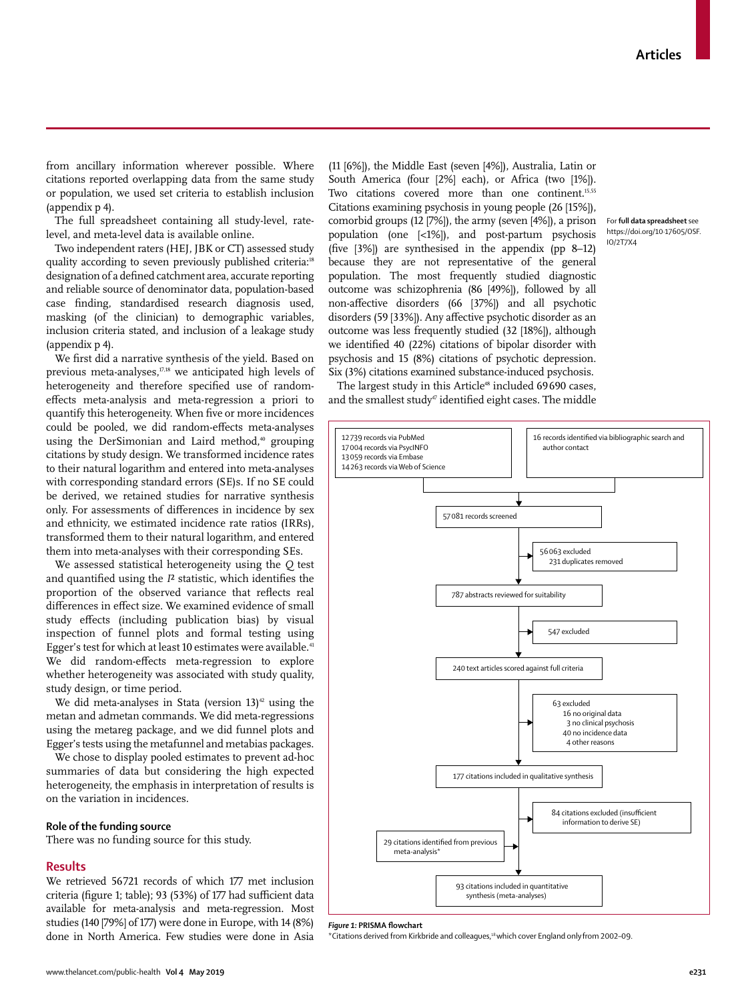from ancillary information wherever possible. Where citations reported overlapping data from the same study or population, we used set criteria to establish inclusion (appendix p 4).

The full [spreadsheet](https://doi.org/10·17605/OSF.IO/2T7X4) containing all study-level, ratelevel, and meta-level data is available online.

Two independent raters (HEJ, JBK or CT) assessed study quality according to seven previously published criteria:<sup>18</sup> designation of a defined catchment area, accurate reporting and reliable source of denominator data, population-based case finding, standardised research diagnosis used, masking (of the clinician) to demographic variables, inclusion criteria stated, and inclusion of a leakage study (appendix p 4).

We first did a narrative synthesis of the yield. Based on previous meta-analyses, $77,18$  we anticipated high levels of heterogeneity and therefore specified use of randomeffects meta-analysis and meta-regression a priori to quantify this heterogeneity. When five or more incidences could be pooled, we did random-effects meta-analyses using the DerSimonian and Laird method,<sup>40</sup> grouping citations by study design. We transformed incidence rates to their natural logarithm and entered into meta-analyses with corresponding standard errors (SE)s. If no SE could be derived, we retained studies for narrative synthesis only. For assessments of differences in incidence by sex and ethnicity, we estimated incidence rate ratios (IRRs), transformed them to their natural logarithm, and entered them into meta-analyses with their corresponding SEs.

We assessed statistical heterogeneity using the *Q* test and quantified using the *I*² statistic, which identifies the proportion of the observed variance that reflects real differences in effect size. We examined evidence of small study effects (including publication bias) by visual inspection of funnel plots and formal testing using Egger's test for which at least 10 estimates were available.<sup>41</sup> We did random-effects meta-regression to explore whether heterogeneity was associated with study quality, study design, or time period.

We did meta-analyses in Stata (version  $13)^{42}$  using the metan and admetan commands. We did meta-regressions using the metareg package, and we did funnel plots and Egger's tests using the metafunnel and metabias packages.

We chose to display pooled estimates to prevent ad-hoc summaries of data but considering the high expected heterogeneity, the emphasis in interpretation of results is on the variation in incidences.

# **Role of the funding source**

There was no funding source for this study.

## **Results**

We retrieved 56721 records of which 177 met inclusion criteria (figure 1; table); 93 (53%) of 177 had sufficient data available for meta-analysis and meta-regression. Most studies (140 [79%] of 177) were done in Europe, with 14 (8%) done in North America. Few studies were done in Asia

(11 [6%]), the Middle East (seven [4%]), Australia, Latin or South America (four [2%] each), or Africa (two [1%]). Two citations covered more than one continent.<sup>15,55</sup> Citations examining psychosis in young people (26 [15%]), comorbid groups (12 [7%]), the army (seven [4%]), a prison population (one [<1%]), and post-partum psychosis (five [3%]) are synthesised in the appendix (pp 8–12) because they are not representative of the general population. The most frequently studied diagnostic outcome was schizophrenia (86 [49%]), followed by all non-affective disorders (66 [37%]) and all psychotic disorders (59 [33%]). Any affective psychotic disorder as an outcome was less frequently studied (32 [18%]), although we identified 40 (22%) citations of bipolar disorder with psychosis and 15 (8%) citations of psychotic depression. Six (3%) citations examined substance-induced psychosis.

For **full data spreadsheet** see [https://doi.org/10·17605/OSF.](https://doi.org/10·17605/OSF.IO/2T7X4) [IO/2T7X4](https://doi.org/10·17605/OSF.IO/2T7X4) 

The largest study in this Article<sup>48</sup> included 69690 cases, and the smallest study<sup> $47$ </sup> identified eight cases. The middle



*Figure 1:* **PRISMA flowchart**

\*Citations derived from Kirkbride and colleagues,18 which cover England onlyfrom 2002–09.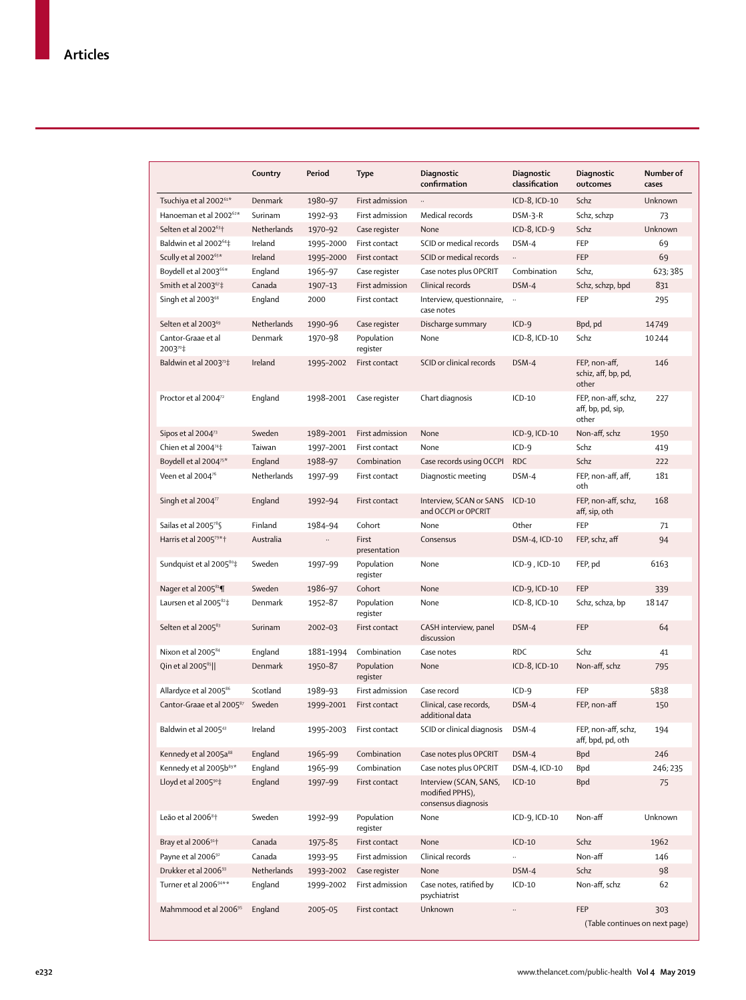|                                           | Country     | Period    | <b>Type</b>            | Diagnostic<br>confirmation                                       | Diagnostic<br>classification | Diagnostic<br>outcomes                            | Number of<br>cases |
|-------------------------------------------|-------------|-----------|------------------------|------------------------------------------------------------------|------------------------------|---------------------------------------------------|--------------------|
| Tsuchiya et al 2002 <sup>61*</sup>        | Denmark     | 1980-97   | First admission        |                                                                  | ICD-8, ICD-10                | Schz                                              | Unknown            |
| Hanoeman et al 2002 <sup>62*</sup>        | Surinam     | 1992-93   | First admission        | Medical records                                                  | DSM-3-R                      | Schz, schzp                                       | 73                 |
| Selten et al 2002 <sup>63+</sup>          | Netherlands | 1970-92   | Case register          | None                                                             | ICD-8, ICD-9                 | Schz                                              | Unknown            |
| Baldwin et al 2002 <sup>64</sup> ‡        | Ireland     | 1995-2000 | First contact          | SCID or medical records                                          | DSM-4                        | FEP                                               | 69                 |
| Scully et al 2002 <sup>65*</sup>          | Ireland     | 1995-2000 | First contact          | SCID or medical records                                          | $\ldots$                     | FEP                                               | 69                 |
| Boydell et al 2003 <sup>66*</sup>         | England     | 1965-97   | Case register          | Case notes plus OPCRIT                                           | Combination                  | Schz,                                             | 623; 385           |
| Smith et al $2003^{67}$ ‡                 | Canada      | 1907-13   | First admission        | Clinical records                                                 | DSM-4                        | Schz, schzp, bpd                                  | 831                |
| Singh et al 2003 <sup>68</sup>            | England     | 2000      | First contact          | Interview, questionnaire,<br>case notes                          | $\ldots$                     | FEP                                               | 295                |
| Selten et al 2003 <sup>69</sup>           | Netherlands | 1990-96   | Case register          | Discharge summary                                                | $ICD-9$                      | Bpd, pd                                           | 14749              |
| Cantor-Graae et al<br>200370‡             | Denmark     | 1970-98   | Population<br>register | None                                                             | ICD-8, ICD-10                | Schz                                              | 10244              |
| Baldwin et al 2003 <sup>71</sup> ‡        | Ireland     | 1995-2002 | First contact          | SCID or clinical records                                         | DSM-4                        | FEP, non-aff,<br>schiz, aff, bp, pd,<br>other     | 146                |
| Proctor et al 2004 <sup>72</sup>          | England     | 1998-2001 | Case register          | Chart diagnosis                                                  | $ICD-10$                     | FEP, non-aff, schz,<br>aff, bp, pd, sip,<br>other | 227                |
| Sipos et al 2004 <sup>73</sup>            | Sweden      | 1989-2001 | First admission        | None                                                             | ICD-9, ICD-10                | Non-aff, schz                                     | 1950               |
| Chien et al $2004^{74}$                   | Taiwan      | 1997-2001 | First contact          | None                                                             | $ICD-9$                      | Schz                                              | 419                |
| Boydell et al 2004 <sup>75*</sup>         | England     | 1988-97   | Combination            | Case records using OCCPI                                         | <b>RDC</b>                   | Schz                                              | 222                |
| Veen et al 2004 $76$                      | Netherlands | 1997-99   | First contact          | Diagnostic meeting                                               | DSM-4                        | FEP, non-aff, aff,<br>oth                         | 181                |
| Singh et al 2004 <sup>77</sup>            | England     | 1992-94   | First contact          | Interview, SCAN or SANS<br>and OCCPI or OPCRIT                   | $ICD-10$                     | FEP, non-aff, schz,<br>aff, sip, oth              | 168                |
| Sailas et al 2005 <sup>78</sup> §         | Finland     | 1984-94   | Cohort                 | None                                                             | Other                        | FEP                                               | 71                 |
| Harris et al 200579*†                     | Australia   | $\ddotsc$ | First<br>presentation  | Consensus                                                        | DSM-4, ICD-10                | FEP, schz, aff                                    | 94                 |
| Sundquist et al 2005 <sup>80</sup> ‡      | Sweden      | 1997-99   | Population<br>register | None                                                             | $ICD-9$ , $ICD-10$           | FEP, pd                                           | 6163               |
| Nager et al 2005 <sup>81</sup>            | Sweden      | 1986-97   | Cohort                 | None                                                             | ICD-9, ICD-10                | FEP                                               | 339                |
| Laursen et al 2005 <sup>82</sup> ‡        | Denmark     | 1952-87   | Population<br>register | None                                                             | ICD-8, ICD-10                | Schz, schza, bp                                   | 18147              |
| Selten et al 2005 <sup>83</sup>           | Surinam     | 2002-03   | First contact          | CASH interview, panel<br>discussion                              | DSM-4                        | <b>FEP</b>                                        | 64                 |
| Nixon et al 2005 <sup>84</sup>            | England     | 1881-1994 | Combination            | Case notes                                                       | <b>RDC</b>                   | Schz                                              | 41                 |
| Qin et al 2005 <sup>85</sup>              | Denmark     | 1950-87   | Population<br>register | None                                                             | ICD-8, ICD-10                | Non-aff, schz                                     | 795                |
| Allardyce et al 2005 <sup>86</sup>        | Scotland    | 1989-93   | First admission        | Case record                                                      | $ICD-9$                      | FEP                                               | 5838               |
| Cantor-Graae et al 2005 <sup>87</sup>     | Sweden      | 1999-2001 | First contact          | Clinical, case records,<br>additional data                       | DSM-4                        | FEP, non-aff                                      | 150                |
| Baldwin et al 2005 <sup>43</sup>          | Ireland     | 1995-2003 | First contact          | SCID or clinical diagnosis                                       | DSM-4                        | FEP, non-aff, schz,<br>aff, bpd, pd, oth          | 194                |
| Kennedy et al 2005a <sup>88</sup>         | England     | 1965-99   | Combination            | Case notes plus OPCRIT                                           | DSM-4                        | <b>Bpd</b>                                        | 246                |
| Kennedy et al 2005b <sup>89*</sup>        | England     | 1965–99   | Combination            | Case notes plus OPCRIT                                           | DSM-4, ICD-10                | Bpd                                               | 246; 235           |
| Lloyd et al 2005 <sup>90</sup> ‡          | England     | 1997-99   | First contact          | Interview (SCAN, SANS,<br>modified PPHS),<br>consensus diagnosis | $ICD-10$                     | <b>Bpd</b>                                        | 75                 |
| Leão et al 2006 <sup>8</sup> <sup>+</sup> | Sweden      | 1992-99   | Population<br>register | None                                                             | ICD-9, ICD-10                | Non-aff                                           | Unknown            |
| Bray et al 2006 <sup>91</sup>             | Canada      | 1975-85   | First contact          | None                                                             | $ICD-10$                     | Schz                                              | 1962               |
| Payne et al 2006 <sup>92</sup>            | Canada      | 1993-95   | First admission        | Clinical records                                                 |                              | Non-aff                                           | 146                |
| Drukker et al 2006 <sup>93</sup>          | Netherlands | 1993-2002 | Case register          | None                                                             | DSM-4                        | Schz                                              | 98                 |
| Turner et al 200694**                     | England     | 1999-2002 | First admission        | Case notes, ratified by<br>psychiatrist                          | $ICD-10$                     | Non-aff, schz                                     | 62                 |
| Mahmmood et al 2006 <sup>95</sup>         | England     | 2005-05   | First contact          | Unknown                                                          | $\cdots$                     | FEP<br>(Table continues on next page)             | 303                |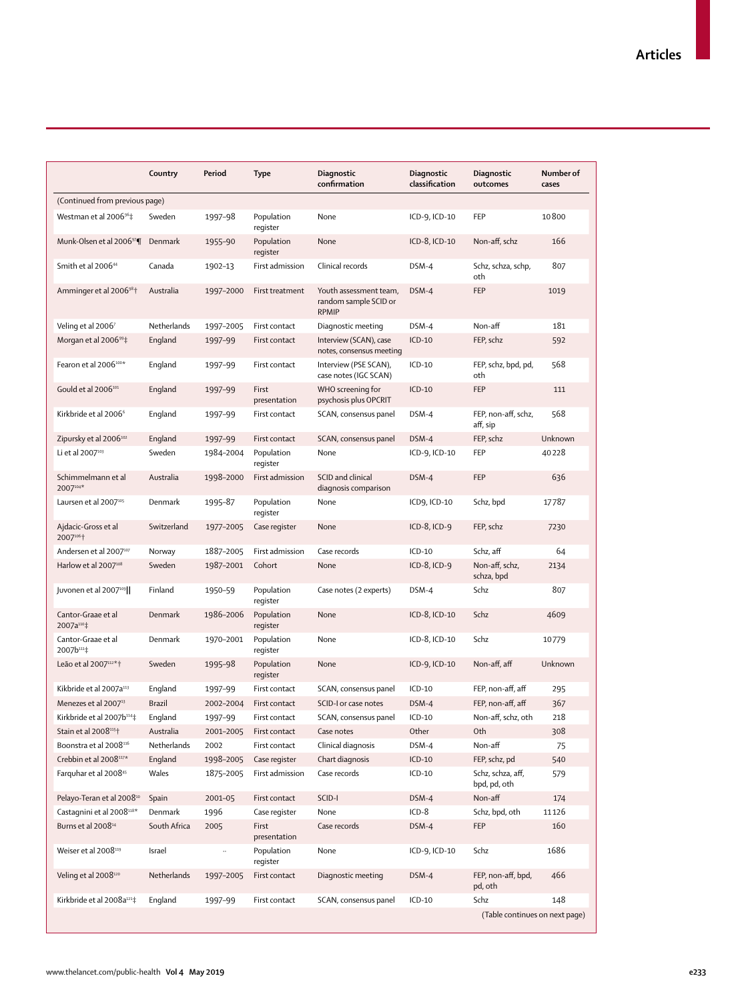|                                              | Country       | Period    | Type                   | Diagnostic<br>confirmation                                      | <b>Diagnostic</b><br>classification | Diagnostic<br>outcomes            | Number of<br>cases |
|----------------------------------------------|---------------|-----------|------------------------|-----------------------------------------------------------------|-------------------------------------|-----------------------------------|--------------------|
| (Continued from previous page)               |               |           |                        |                                                                 |                                     |                                   |                    |
| Westman et al 2006 <sup>96</sup> ‡           | Sweden        | 1997–98   | Population<br>register | None                                                            | ICD-9, ICD-10                       | FEP                               | 10800              |
| Munk-Olsen et al 200697                      | Denmark       | 1955-90   | Population<br>register | None                                                            | ICD-8, ICD-10                       | Non-aff, schz                     | 166                |
| Smith et al 2006 <sup>44</sup>               | Canada        | 1902-13   | First admission        | Clinical records                                                | DSM-4                               | Schz, schza, schp,<br>oth         | 807                |
| Amminger et al 2006 <sup>98</sup> †          | Australia     | 1997-2000 | First treatment        | Youth assessment team,<br>random sample SCID or<br><b>RPMIP</b> | DSM-4                               | FEP                               | 1019               |
| Veling et al 2006 $^7$                       | Netherlands   | 1997-2005 | First contact          | Diagnostic meeting                                              | DSM-4                               | Non-aff                           | 181                |
| Morgan et al 2006 $99\ddagger$               | England       | 1997-99   | First contact          | Interview (SCAN), case<br>notes, consensus meeting              | $ICD-10$                            | FEP, schz                         | 592                |
| Fearon et al 2006 <sup>100*</sup>            | England       | 1997-99   | First contact          | Interview (PSE SCAN),<br>case notes (IGC SCAN)                  | $ICD-10$                            | FEP, schz, bpd, pd,<br>oth        | 568                |
| Gould et al 2006 <sup>101</sup>              | England       | 1997-99   | First<br>presentation  | WHO screening for<br>psychosis plus OPCRIT                      | $ICD-10$                            | FEP                               | 111                |
| Kirkbride et al 2006 <sup>6</sup>            | England       | 1997-99   | First contact          | SCAN, consensus panel                                           | DSM-4                               | FEP, non-aff, schz,<br>aff, sip   | 568                |
| Zipursky et al 2006 <sup>102</sup>           | England       | 1997-99   | First contact          | SCAN, consensus panel                                           | DSM-4                               | FEP, schz                         | Unknown            |
| Li et al 2007 <sup>103</sup>                 | Sweden        | 1984-2004 | Population<br>register | None                                                            | ICD-9, ICD-10                       | FEP                               | 40228              |
| Schimmelmann et al<br>2007104*               | Australia     | 1998-2000 | First admission        | SCID and clinical<br>diagnosis comparison                       | DSM-4                               | FEP                               | 636                |
| Laursen et al 2007105                        | Denmark       | 1995-87   | Population<br>register | None                                                            | ICD9, ICD-10                        | Schz, bpd                         | 17787              |
| Ajdacic-Gross et al<br>2007106+              | Switzerland   | 1977-2005 | Case register          | None                                                            | $ICD-8$ , $ICD-9$                   | FEP, schz                         | 7230               |
| Andersen et al 2007107                       | Norway        | 1887-2005 | First admission        | Case records                                                    | $ICD-10$                            | Schz, aff                         | 64                 |
| Harlow et al 2007 <sup>108</sup>             | Sweden        | 1987-2001 | Cohort                 | None                                                            | $ICD-8$ , $ICD-9$                   | Non-aff, schz,<br>schza, bpd      | 2134               |
| Juvonen et al $2007^{109}$                   | Finland       | 1950-59   | Population<br>register | Case notes (2 experts)                                          | DSM-4                               | Schz                              | 807                |
| Cantor-Graae et al<br>2007a <sup>110</sup> ‡ | Denmark       | 1986-2006 | Population<br>register | None                                                            | ICD-8, ICD-10                       | Schz                              | 4609               |
| Cantor-Graae et al<br>2007b <sup>111</sup> ‡ | Denmark       | 1970-2001 | Population<br>register | None                                                            | ICD-8, ICD-10                       | Schz                              | 10779              |
| Leão et al 2007 <sup>112*</sup> 1            | Sweden        | 1995-98   | Population<br>register | None                                                            | ICD-9, ICD-10                       | Non-aff, aff                      | Unknown            |
| Kikbride et al 2007a113                      | England       | 1997-99   | First contact          | SCAN, consensus panel                                           | $ICD-10$                            | FEP, non-aff, aff                 | 295                |
| Menezes et al 2007 <sup>13</sup>             | <b>Brazil</b> | 2002-2004 | First contact          | SCID-I or case notes                                            | DSM-4                               | FEP, non-aff, aff                 | 367                |
| Kirkbride et al 2007b114‡                    | England       | 1997-99   | First contact          | SCAN, consensus panel                                           | $ICD-10$                            | Non-aff, schz, oth                | 218                |
| Stain et al 2008 <sup>115†</sup>             | Australia     | 2001-2005 | First contact          | Case notes                                                      | Other                               | Oth                               | 308                |
| Boonstra et al 2008116                       | Netherlands   | 2002      | First contact          | Clinical diagnosis                                              | DSM-4                               | Non-aff                           | 75                 |
| Crebbin et al 2008117*                       | England       | 1998-2005 | Case register          | Chart diagnosis                                                 | $ICD-10$                            | FEP, schz, pd                     | 540                |
| Farquhar et al 2008 <sup>45</sup>            | Wales         | 1875-2005 | First admission        | Case records                                                    | $ICD-10$                            | Schz, schza, aff,<br>bpd, pd, oth | 579                |
| Pelayo-Teran et al 2008 <sup>10</sup>        | Spain         | 2001-05   | First contact          | SCID-I                                                          | DSM-4                               | Non-aff                           | 174                |
| Castagnini et al 2008118*                    | Denmark       | 1996      | Case register          | None                                                            | $ICD-8$                             | Schz, bpd, oth                    | 11126              |
| Burns et al 2008 <sup>14</sup>               | South Africa  | 2005      | First<br>presentation  | Case records                                                    | DSM-4                               | FEP                               | 160                |
| Weiser et al 2008119                         | Israel        |           | Population<br>register | None                                                            | ICD-9, ICD-10                       | Schz                              | 1686               |
| Veling et al 2008120                         | Netherlands   | 1997-2005 | First contact          | Diagnostic meeting                                              | DSM-4                               | FEP, non-aff, bpd,<br>pd, oth     | 466                |
| Kirkbride et al 2008a <sup>121</sup> ‡       | England       | 1997-99   | First contact          | SCAN, consensus panel                                           | $ICD-10$                            | Schz                              | 148                |
|                                              |               |           |                        |                                                                 |                                     | (Table continues on next page)    |                    |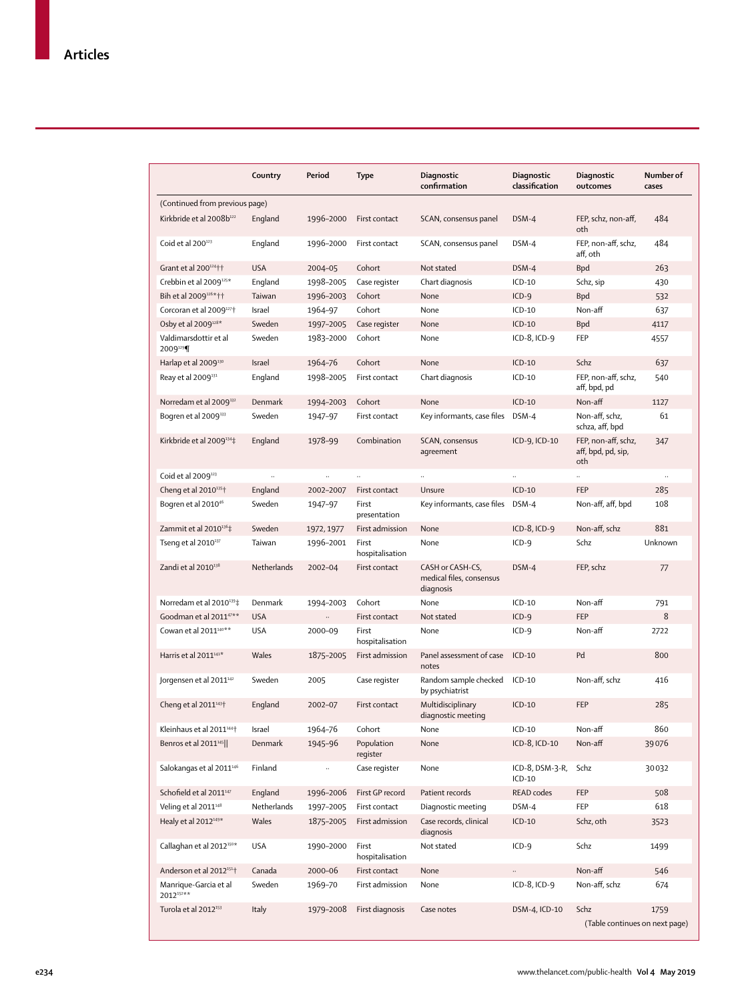|                                              | Country            | Period     | Type                     | Diagnostic<br>confirmation                                | Diagnostic<br>classification | Diagnostic<br>outcomes                           | Number of<br>cases |
|----------------------------------------------|--------------------|------------|--------------------------|-----------------------------------------------------------|------------------------------|--------------------------------------------------|--------------------|
| (Continued from previous page)               |                    |            |                          |                                                           |                              |                                                  |                    |
| Kirkbride et al 2008b <sup>122</sup>         | England            | 1996-2000  | First contact            | SCAN, consensus panel                                     | DSM-4                        | FEP, schz, non-aff,<br>oth                       | 484                |
| Coid et al 200 <sup>123</sup>                | England            | 1996-2000  | First contact            | SCAN, consensus panel                                     | DSM-4                        | FEP, non-aff, schz,<br>aff, oth                  | 484                |
| Grant et al 200124++                         | <b>USA</b>         | 2004-05    | Cohort                   | Not stated                                                | DSM-4                        | <b>Bpd</b>                                       | 263                |
| Crebbin et al 2009 <sup>125*</sup>           | England            | 1998-2005  | Case register            | Chart diagnosis                                           | $ICD-10$                     | Schz, sip                                        | 430                |
| Bih et al 2009 <sup>126*</sup> 11            | Taiwan             | 1996-2003  | Cohort                   | None                                                      | $ICD-9$                      | <b>Bpd</b>                                       | 532                |
| Corcoran et al 2009127+                      | Israel             | 1964-97    | Cohort                   | None                                                      | $ICD-10$                     | Non-aff                                          | 637                |
| Osby et al 2009128*                          | Sweden             | 1997-2005  | Case register            | None                                                      | $ICD-10$                     | <b>Bpd</b>                                       | 4117               |
| Valdimarsdottir et al<br>2009 <sup>129</sup> | Sweden             | 1983-2000  | Cohort                   | None                                                      | $ICD-8$ , $ICD-9$            | FEP                                              | 4557               |
| Harlap et al 2009 <sup>130</sup>             | Israel             | 1964-76    | Cohort                   | None                                                      | $ICD-10$                     | Schz                                             | 637                |
| Reay et al 2009 <sup>131</sup>               | England            | 1998-2005  | First contact            | Chart diagnosis                                           | $ICD-10$                     | FEP, non-aff, schz,<br>aff, bpd, pd              | 540                |
| Norredam et al 2009 <sup>132</sup>           | Denmark            | 1994-2003  | Cohort                   | None                                                      | $ICD-10$                     | Non-aff                                          | 1127               |
| Bogren et al 2009 <sup>133</sup>             | Sweden             | 1947-97    | First contact            | Key informants, case files DSM-4                          |                              | Non-aff, schz,<br>schza, aff, bpd                | 61                 |
| Kirkbride et al 2009 <sup>134</sup> ‡        | England            | 1978-99    | Combination              | SCAN, consensus<br>agreement                              | ICD-9, ICD-10                | FEP, non-aff, schz,<br>aff, bpd, pd, sip,<br>oth | 347                |
| Coid et al 2009 <sup>123</sup>               |                    |            |                          |                                                           |                              |                                                  |                    |
| Cheng et al 2010 <sup>135</sup> <sup>+</sup> | England            | 2002-2007  | First contact            | Unsure                                                    | $ICD-10$                     | <b>FEP</b>                                       | 285                |
| Bogren et al 2010 <sup>46</sup>              | Sweden             | 1947-97    | First<br>presentation    | Key informants, case files DSM-4                          |                              | Non-aff, aff, bpd                                | 108                |
| Zammit et al 2010 <sup>136</sup> ‡           | Sweden             | 1972, 1977 | First admission          | None                                                      | $ICD-8$ , $ICD-9$            | Non-aff, schz                                    | 881                |
| Tseng et al 2010137                          | Taiwan             | 1996-2001  | First<br>hospitalisation | None                                                      | $ICD-9$                      | Schz                                             | Unknown            |
| Zandi et al $2010^{138}$                     | <b>Netherlands</b> | 2002-04    | First contact            | CASH or CASH-CS,<br>medical files, consensus<br>diagnosis | DSM-4                        | FEP, schz                                        | 77                 |
| Norredam et al 2010 <sup>139</sup> ‡         | Denmark            | 1994-2003  | Cohort                   | None                                                      | $ICD-10$                     | Non-aff                                          | 791                |
| Goodman et al 2011 <sup>47**</sup>           | <b>USA</b>         |            | First contact            | Not stated                                                | $ICD-9$                      | <b>FEP</b>                                       | 8                  |
| Cowan et al 2011 <sup>140**</sup>            | <b>USA</b>         | 2000-09    | First<br>hospitalisation | None                                                      | $ICD-9$                      | Non-aff                                          | 2722               |
| Harris et al 2011 <sup>141*</sup>            | Wales              | 1875-2005  | First admission          | Panel assessment of case<br>notes                         | $ICD-10$                     | Pd                                               | 800                |
| Jorgensen et al 2011 <sup>142</sup>          | Sweden             | 2005       | Case register            | Random sample checked<br>by psychiatrist                  | $ICD-10$                     | Non-aff, schz                                    | 416                |
| Cheng et al 2011 <sup>143†</sup>             | England            | 2002-07    | First contact            | Multidisciplinary<br>diagnostic meeting                   | $ICD-10$                     | <b>FEP</b>                                       | 285                |
| Kleinhaus et al 2011 <sup>144</sup> †        | Israel             | 1964-76    | Cohort                   | None                                                      | $ICD-10$                     | Non-aff                                          | 860                |
| Benros et al 2011 <sup>145</sup>             | Denmark            | 1945-96    | Population<br>register   | None                                                      | ICD-8, ICD-10                | Non-aff                                          | 39076              |
| Salokangas et al 2011 <sup>146</sup>         | Finland            |            | Case register            | None                                                      | ICD-8, DSM-3-R,<br>$ICD-10$  | Schz                                             | 30032              |
| Schofield et al 2011 <sup>147</sup>          | England            | 1996-2006  | First GP record          | Patient records                                           | READ codes                   | <b>FEP</b>                                       | 508                |
| Veling et al 2011 <sup>148</sup>             | Netherlands        | 1997-2005  | First contact            | Diagnostic meeting                                        | DSM-4                        | FEP                                              | 618                |
| Healy et al 2012 <sup>149*</sup>             | Wales              | 1875-2005  | First admission          | Case records, clinical<br>diagnosis                       | $ICD-10$                     | Schz, oth                                        | 3523               |
| Callaghan et al 2012 <sup>150*</sup>         | USA                | 1990-2000  | First<br>hospitalisation | Not stated                                                | $ICD-9$                      | Schz                                             | 1499               |
| Anderson et al 2012 <sup>151</sup>           | Canada             | 2000-06    | First contact            | None                                                      | $\ldots$                     | Non-aff                                          | 546                |
| Manrique-Garcia et al<br>2012152**           | Sweden             | 1969-70    | First admission          | None                                                      | ICD-8, ICD-9                 | Non-aff, schz                                    | 674                |
| Turola et al 2012 <sup>153</sup>             | Italy              | 1979-2008  | First diagnosis          | Case notes                                                | DSM-4, ICD-10                | Schz<br>(Table continues on next page)           | 1759               |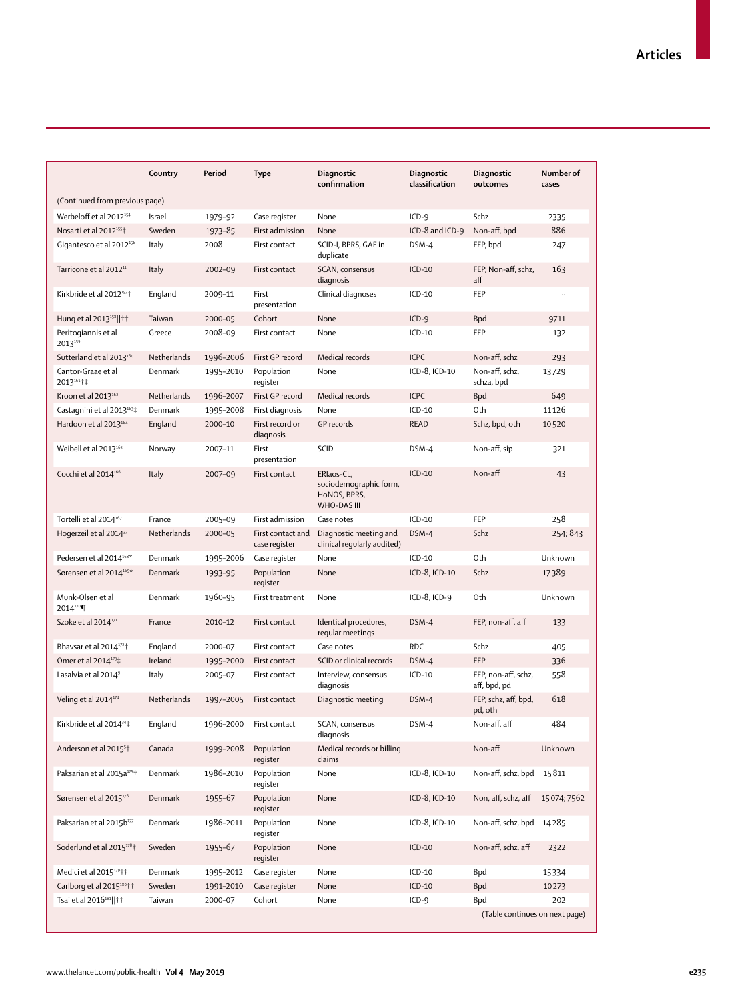|                                           | Country     | Period    | Type                               | Diagnostic<br>confirmation                                          | <b>Diagnostic</b><br>classification | Diagnostic<br>outcomes              | Number of<br>cases |
|-------------------------------------------|-------------|-----------|------------------------------------|---------------------------------------------------------------------|-------------------------------------|-------------------------------------|--------------------|
| (Continued from previous page)            |             |           |                                    |                                                                     |                                     |                                     |                    |
| Werbeloff et al 2012 <sup>154</sup>       | Israel      | 1979-92   | Case register                      | None                                                                | $ICD-9$                             | Schz                                | 2335               |
| Nosarti et al 2012 <sup>155</sup> †       | Sweden      | 1973-85   | First admission                    | None                                                                | ICD-8 and ICD-9                     | Non-aff, bpd                        | 886                |
| Gigantesco et al 2012 <sup>156</sup>      | Italy       | 2008      | First contact                      | SCID-I, BPRS, GAF in<br>duplicate                                   | DSM-4                               | FEP, bpd                            | 247                |
| Tarricone et al 2012 <sup>11</sup>        | Italy       | 2002-09   | First contact                      | SCAN, consensus<br>diagnosis                                        | $ICD-10$                            | FEP, Non-aff, schz,<br>aff          | 163                |
| Kirkbride et al 2012 <sup>157†</sup>      | England     | 2009-11   | First<br>presentation              | Clinical diagnoses                                                  | $ICD-10$                            | FEP                                 |                    |
| Hung et al 2013 <sup>158</sup>   ††       | Taiwan      | 2000-05   | Cohort                             | None                                                                | $ICD-9$                             | <b>Bpd</b>                          | 9711               |
| Peritogiannis et al<br>2013159            | Greece      | 2008-09   | First contact                      | None                                                                | $ICD-10$                            | FEP                                 | 132                |
| Sutterland et al 2013 <sup>160</sup>      | Netherlands | 1996-2006 | First GP record                    | Medical records                                                     | <b>ICPC</b>                         | Non-aff, schz                       | 293                |
| Cantor-Graae et al<br>2013161+            | Denmark     | 1995-2010 | Population<br>register             | None                                                                | ICD-8, ICD-10                       | Non-aff, schz,<br>schza, bpd        | 13729              |
| Kroon et al 2013 <sup>162</sup>           | Netherlands | 1996-2007 | First GP record                    | Medical records                                                     | <b>ICPC</b>                         | <b>Bpd</b>                          | 649                |
| Castagnini et al 2013 <sup>163</sup> ‡    | Denmark     | 1995-2008 | First diagnosis                    | None                                                                | $ICD-10$                            | Oth                                 | 11126              |
| Hardoon et al 2013 <sup>164</sup>         | England     | 2000-10   | First record or<br>diagnosis       | GP records                                                          | <b>READ</b>                         | Schz, bpd, oth                      | 10520              |
| Weibell et al 2013 <sup>165</sup>         | Norway      | 2007-11   | First<br>presentation              | SCID                                                                | DSM-4                               | Non-aff, sip                        | 321                |
| Cocchi et al 2014 <sup>166</sup>          | Italy       | 2007-09   | First contact                      | ERIaos-CL,<br>sociodemographic form,<br>HoNOS, BPRS,<br>WHO-DAS III | $ICD-10$                            | Non-aff                             | 43                 |
| Tortelli et al 2014 <sup>167</sup>        | France      | 2005-09   | First admission                    | Case notes                                                          | $ICD-10$                            | FEP                                 | 258                |
| Hogerzeil et al 2014 <sup>37</sup>        | Netherlands | 2000-05   | First contact and<br>case register | Diagnostic meeting and<br>clinical regularly audited)               | DSM-4                               | Schz                                | 254; 843           |
| Pedersen et al 2014 <sup>168*</sup>       | Denmark     | 1995-2006 | Case register                      | None                                                                | $ICD-10$                            | Oth                                 | Unknown            |
| Sørensen et al 2014 <sup>169*</sup>       | Denmark     | 1993-95   | Population<br>register             | None                                                                | ICD-8, ICD-10                       | Schz                                | 17389              |
| Munk-Olsen et al<br>2014 <sup>170</sup> ¶ | Denmark     | 1960-95   | First treatment                    | None                                                                | ICD-8, ICD-9                        | Oth                                 | Unknown            |
| Szoke et al 2014 <sup>171</sup>           | France      | 2010-12   | First contact                      | Identical procedures,<br>regular meetings                           | DSM-4                               | FEP, non-aff, aff                   | 133                |
| Bhavsar et al 2014 <sup>172</sup> †       | England     | 2000-07   | First contact                      | Case notes                                                          | <b>RDC</b>                          | Schz                                | 405                |
| Omer et al 2014 <sup>173</sup> ‡          | Ireland     | 1995-2000 | First contact                      | SCID or clinical records                                            | DSM-4                               | <b>FEP</b>                          | 336                |
| Lasalvia et al 2014 <sup>9</sup>          | Italy       | 2005-07   | First contact                      | Interview, consensus<br>diagnosis                                   | $ICD-10$                            | FEP, non-aff, schz,<br>aff, bpd, pd | 558                |
| Veling et al 2014 <sup>174</sup>          | Netherlands | 1997-2005 | First contact                      | Diagnostic meeting                                                  | DSM-4                               | FEP, schz, aff, bpd,<br>pd, oth     | 618                |
| Kirkbride et al 2014 <sup>34</sup> ‡      | England     | 1996-2000 | First contact                      | SCAN, consensus<br>diagnosis                                        | DSM-4                               | Non-aff, aff                        | 484                |
| Anderson et al 2015 <sup>5†</sup>         | Canada      | 1999-2008 | Population<br>register             | Medical records or billing<br>claims                                |                                     | Non-aff                             | Unknown            |
| Paksarian et al 2015a <sup>175†</sup>     | Denmark     | 1986-2010 | Population<br>register             | None                                                                | ICD-8, ICD-10                       | Non-aff, schz, bpd                  | 15811              |
| Sørensen et al 2015 <sup>176</sup>        | Denmark     | 1955-67   | Population<br>register             | None                                                                | ICD-8, ICD-10                       | Non, aff, schz, aff                 | 15074;7562         |
| Paksarian et al 2015b177                  | Denmark     | 1986-2011 | Population<br>register             | None                                                                | ICD-8, ICD-10                       | Non-aff, schz, bpd                  | 14285              |
| Soderlund et al 2015 <sup>178</sup> t     | Sweden      | 1955-67   | Population<br>register             | None                                                                | $ICD-10$                            | Non-aff, schz, aff                  | 2322               |
| Medici et al 2015 <sup>179</sup> ††       | Denmark     | 1995-2012 | Case register                      | None                                                                | $ICD-10$                            | Bpd                                 | 15334              |
| Carlborg et al 2015 <sup>180</sup> ††     | Sweden      | 1991-2010 | Case register                      | None                                                                | $ICD-10$                            | <b>Bpd</b>                          | 10273              |
| Tsai et al 2016 <sup>181</sup>   ††       | Taiwan      | 2000-07   | Cohort                             | None                                                                | $ICD-9$                             | Bpd                                 | 202                |
|                                           |             |           |                                    |                                                                     |                                     | (Table continues on next page)      |                    |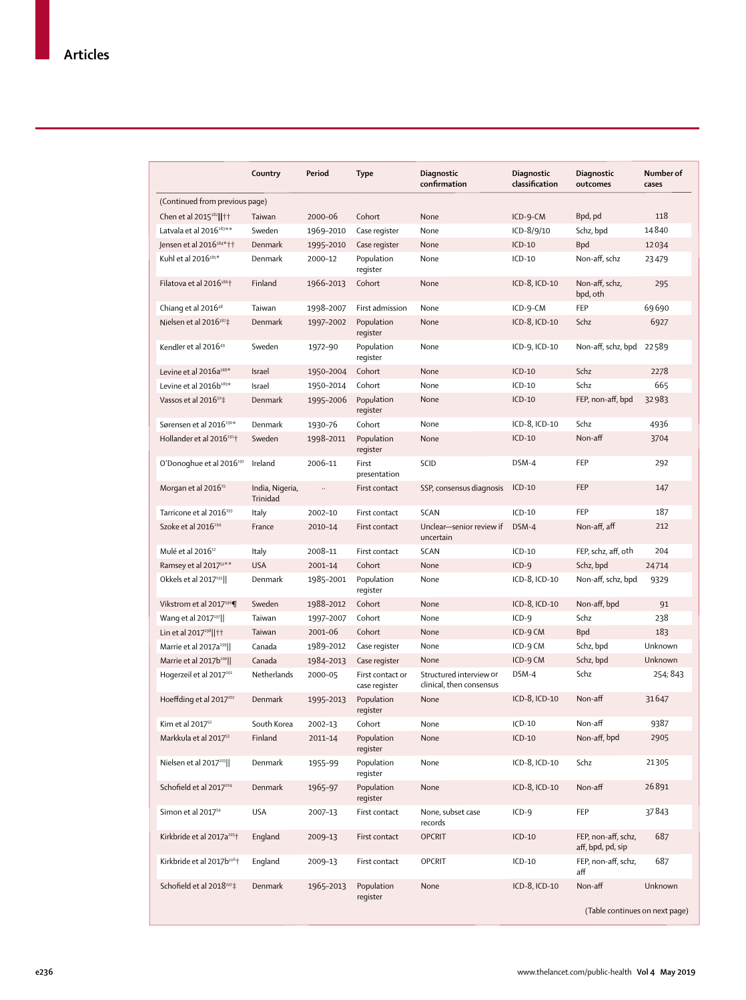|                                        | Country                     | Period      | <b>Type</b>                       | Diagnostic<br>confirmation                          | Diagnostic<br>classification | Diagnostic<br>outcomes                   | Number of<br>cases |
|----------------------------------------|-----------------------------|-------------|-----------------------------------|-----------------------------------------------------|------------------------------|------------------------------------------|--------------------|
| (Continued from previous page)         |                             |             |                                   |                                                     |                              |                                          |                    |
| Chen et al 2015 <sup>182</sup>     † † | Taiwan                      | 2000-06     | Cohort                            | None                                                | $ICD-9-CM$                   | Bpd, pd                                  | 118                |
| Latvala et al 2016 <sup>183**</sup>    | Sweden                      | 1969-2010   | Case register                     | None                                                | ICD-8/9/10                   | Schz, bpd                                | 14840              |
| Jensen et al 2016 <sup>184*</sup> ††   | Denmark                     | 1995-2010   | Case register                     | None                                                | $ICD-10$                     | <b>Bpd</b>                               | 12034              |
| Kuhl et al 2016 <sup>185*</sup>        | Denmark                     | 2000-12     | Population<br>register            | None                                                | $ICD-10$                     | Non-aff, schz                            | 23479              |
| Filatova et al $2016^{186}$ †          | Finland                     | 1966-2013   | Cohort                            | None                                                | ICD-8, ICD-10                | Non-aff, schz,<br>bpd, oth               | 295                |
| Chiang et al 2016 <sup>48</sup>        | Taiwan                      | 1998-2007   | First admission                   | None                                                | ICD-9-CM                     | FEP                                      | 69690              |
| Nielsen et al 2016 <sup>187</sup> ‡    | Denmark                     | 1997-2002   | Population<br>register            | None                                                | ICD-8, ICD-10                | Schz                                     | 6927               |
| Kendler et al 2016 <sup>49</sup>       | Sweden                      | 1972-90     | Population<br>register            | None                                                | ICD-9, ICD-10                | Non-aff, schz, bpd 22589                 |                    |
| Levine et al 2016a <sup>188*</sup>     | <b>Israel</b>               | 1950-2004   | Cohort                            | None                                                | $ICD-10$                     | Schz                                     | 2278               |
| Levine et al 2016b <sup>189*</sup>     | Israel                      | 1950-2014   | Cohort                            | None                                                | $ICD-10$                     | Schz                                     | 665                |
| Vassos et al 2016 <sup>50</sup> ‡      | Denmark                     | 1995-2006   | Population<br>register            | None                                                | $ICD-10$                     | FEP, non-aff, bpd                        | 32983              |
| Sørensen et al 2016 <sup>190*</sup>    | Denmark                     | 1930-76     | Cohort                            | None                                                | ICD-8, ICD-10                | Schz                                     | 4936               |
| Hollander et al 2016 <sup>191†</sup>   | Sweden                      | 1998-2011   | Population<br>register            | None                                                | $ICD-10$                     | Non-aff                                  | 3704               |
| O'Donoghue et al 2016 <sup>192</sup>   | Ireland                     | 2006-11     | First<br>presentation             | SCID                                                | DSM-4                        | FEP                                      | 292                |
| Morgan et al 2016 <sup>15</sup>        | India, Nigeria,<br>Trinidad | $\ldots$    | First contact                     | SSP, consensus diagnosis                            | $ICD-10$                     | FEP                                      | 147                |
| Tarricone et al 2016 <sup>193</sup>    | Italy                       | 2002-10     | First contact                     | <b>SCAN</b>                                         | $ICD-10$                     | <b>FEP</b>                               | 187                |
| Szoke et al 2016 <sup>194</sup>        | France                      | 2010-14     | First contact                     | Unclear-senior review if<br>uncertain               | DSM-4                        | Non-aff, aff                             | 212                |
| Mulé et al 2016 <sup>12</sup>          | Italy                       | 2008-11     | First contact                     | SCAN                                                | $ICD-10$                     | FEP, schz, aff, oth                      | 204                |
| Ramsey et al 2017 <sup>51**</sup>      | <b>USA</b>                  | 2001-14     | Cohort                            | None                                                | $ICD-9$                      | Schz, bpd                                | 24714              |
| Okkels et al 2017 <sup>195</sup>       | Denmark                     | 1985-2001   | Population<br>register            | None                                                | ICD-8, ICD-10                | Non-aff, schz, bpd                       | 9329               |
| Vikstrom et al 2017 <sup>196</sup>     | Sweden                      | 1988-2012   | Cohort                            | None                                                | ICD-8, ICD-10                | Non-aff, bpd                             | 91                 |
| Wang et al 2017 <sup>197</sup>         | Taiwan                      | 1997-2007   | Cohort                            | None                                                | $ICD-9$                      | Schz                                     | 238                |
| Lin et al 2017 <sup>198</sup>     † †  | Taiwan                      | 2001-06     | Cohort                            | None                                                | ICD-9 CM                     | <b>Bpd</b>                               | 183                |
| Marrie et al 2017a <sup>199</sup>      | Canada                      | 1989-2012   | Case register                     | None                                                | ICD-9 CM                     | Schz, bpd                                | Unknown            |
| Marrie et al 2017b <sup>200</sup>      | Canada                      | 1984-2013   | Case register                     | None                                                | ICD-9 CM                     | Schz, bpd                                | Unknown            |
| Hogerzeil et al 2017 <sup>201</sup>    | Netherlands                 | 2000-05     | First contact or<br>case register | Structured interview or<br>clinical, then consensus | DSM-4                        | Schz                                     | 254; 843           |
| Hoeffding et al 2017 <sup>202</sup>    | Denmark                     | 1995-2013   | Population<br>register            | None                                                | ICD-8, ICD-10                | Non-aff                                  | 31647              |
| Kim et al 2017 <sup>52</sup>           | South Korea                 | 2002-13     | Cohort                            | None                                                | $ICD-10$                     | Non-aff                                  | 9387               |
| Markkula et al 2017 <sup>53</sup>      | Finland                     | $2011 - 14$ | Population<br>register            | None                                                | $ICD-10$                     | Non-aff, bpd                             | 2905               |
| Nielsen et al 2017 <sup>203</sup>      | Denmark                     | 1955-99     | Population<br>register            | None                                                | ICD-8, ICD-10                | Schz                                     | 21305              |
| Schofield et al 2017204                | Denmark                     | 1965-97     | Population<br>register            | None                                                | ICD-8, ICD-10                | Non-aff                                  | 26891              |
| Simon et al 2017 <sup>54</sup>         | <b>USA</b>                  | 2007-13     | First contact                     | None, subset case<br>records                        | $ICD-9$                      | FEP                                      | 37843              |
| Kirkbride et al 2017a <sup>205†</sup>  | England                     | 2009-13     | First contact                     | <b>OPCRIT</b>                                       | $ICD-10$                     | FEP, non-aff, schz,<br>aff, bpd, pd, sip | 687                |
| Kirkbride et al 2017b <sup>206</sup> † | England                     | 2009-13     | First contact                     | <b>OPCRIT</b>                                       | $ICD-10$                     | FEP, non-aff, schz,<br>aff               | 687                |
| Schofield et al 2018207#               | Denmark                     | 1965-2013   | Population<br>register            | None                                                | ICD-8, ICD-10                | Non-aff                                  | Unknown            |
|                                        |                             |             |                                   |                                                     |                              | (Table continues on next page)           |                    |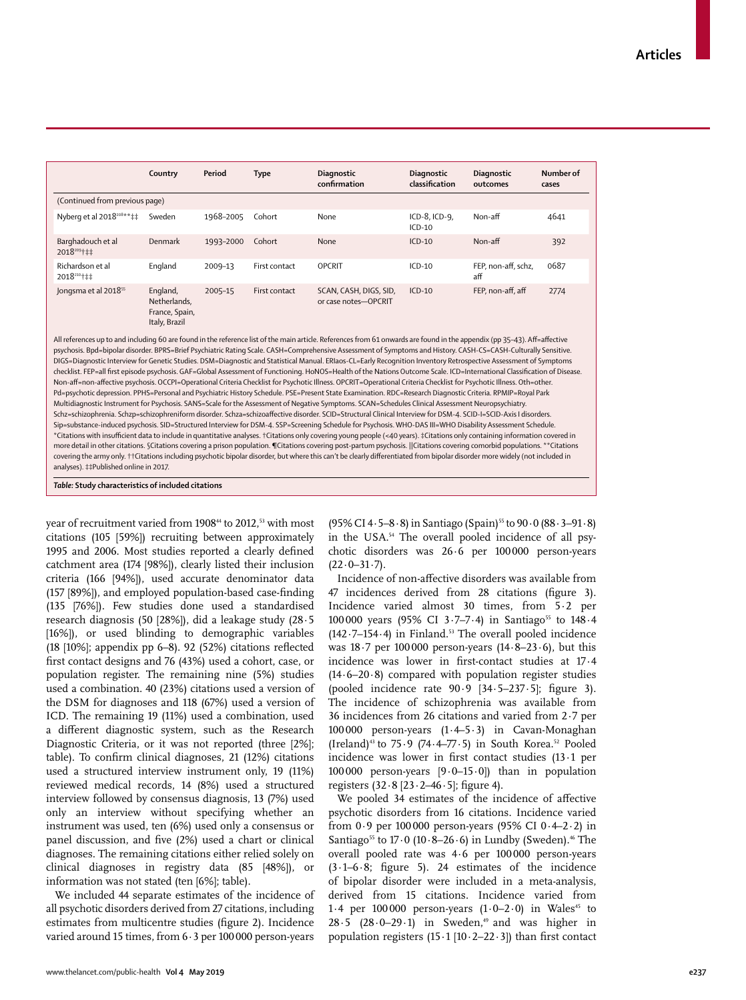|                                       | Country                                                                                                                                                                   | Period    | <b>Type</b>   | Diagnostic<br>confirmation                     | Diagnostic<br>classification | Diagnostic<br>outcomes     | Number of<br>cases |  |
|---------------------------------------|---------------------------------------------------------------------------------------------------------------------------------------------------------------------------|-----------|---------------|------------------------------------------------|------------------------------|----------------------------|--------------------|--|
| (Continued from previous page)        |                                                                                                                                                                           |           |               |                                                |                              |                            |                    |  |
| Nyberg et al 2018 <sup>208**</sup> ‡‡ | Sweden                                                                                                                                                                    | 1968-2005 | Cohort        | None                                           | ICD-8, ICD-9,<br>$ICD-10$    | Non-aff                    | 4641               |  |
| Barghadouch et al<br>2018209+##       | Denmark                                                                                                                                                                   | 1993-2000 | Cohort        | None                                           | $ICD-10$                     | Non-aff                    | 392                |  |
| Richardson et al<br>2018210+1+        | England                                                                                                                                                                   | 2009-13   | First contact | <b>OPCRIT</b>                                  | $ICD-10$                     | FEP, non-aff, schz,<br>aff | 0687               |  |
| Jongsma et al 2018 <sup>55</sup>      | England,<br>Netherlands,<br>France, Spain,<br>Italy, Brazil                                                                                                               | 2005-15   | First contact | SCAN, CASH, DIGS, SID,<br>or case notes-OPCRIT | $ICD-10$                     | FEP, non-aff, aff          | 2774               |  |
|                                       | All references up to and including 60 are found in the reference list of the main article. References from 61 onwards are found in the appendix (pp 35-43). Aff=affective |           |               |                                                |                              |                            |                    |  |

psychosis. Bpd=bipolar disorder. BPRS=Brief Psychiatric Rating Scale. CASH=Comprehensive Assessment of Symptoms and History. CASH-CS=CASH-Culturally Sensitive. DIGS=Diagnostic Interview for Genetic Studies. DSM=Diagnostic and Statistical Manual. ERIaos-CL=Early Recognition Inventory Retrospective Assessment of Symptoms checklist. FEP=all first episode psychosis. GAF=Global Assessment of Functioning. HoNOS=Health of the Nations Outcome Scale. ICD=International Classification of Disease. Non-aff=non-affective psychosis. OCCPI=Operational Criteria Checklist for Psychotic Illness. OPCRIT=Operational Criteria Checklist for Psychotic Illness. Oth=other. Pd=psychotic depression. PPHS=Personal and Psychiatric History Schedule. PSE=Present State Examination. RDC=Research Diagnostic Criteria. RPMIP=Royal Park Multidiagnostic Instrument for Psychosis. SANS=Scale for the Assessment of Negative Symptoms. SCAN=Schedules Clinical Assessment Neuropsychiatry. Schz=schizophrenia. Schzp=schizophreniform disorder. Schza=schizoaffective disorder. SCID=Structural Clinical Interview for DSM-4. SCID-I=SCID-Axis I disorders. Sip=substance-induced psychosis. SID=Structured Interview for DSM-4. SSP=Screening Schedule for Psychosis. WHO-DAS III=WHO Disability Assessment Schedule. \*Citations with insufficient data to include in quantitative analyses. †Citations only covering young people (<40 years). ‡Citations only containing information covered in more detail in other citations. §Citations covering a prison population. ¶Citations covering post-partum psychosis. ||Citations covering comorbid populations. \*\*Citations covering the army only. ††Citations including psychotic bipolar disorder, but where this can't be clearly differentiated from bipolar disorder more widely (not included in analyses). ‡‡Published online in 2017.

*Table:* **Study characteristics of included citations**

year of recruitment varied from 1908<sup>44</sup> to 2012,<sup>53</sup> with most citations (105 [59%]) recruiting between approximately 1995 and 2006. Most studies reported a clearly defined catchment area (174 [98%]), clearly listed their inclusion criteria (166 [94%]), used accurate denominator data (157 [89%]), and employed population-based case-finding (135 [76%]). Few studies done used a standardised research diagnosis (50 [28%]), did a leakage study (28·5 [16%]), or used blinding to demographic variables (18 [10%]; appendix pp 6–8). 92 (52%) citations reflected first contact designs and 76 (43%) used a cohort, case, or population register. The remaining nine (5%) studies used a combination. 40 (23%) citations used a version of the DSM for diagnoses and 118 (67%) used a version of ICD. The remaining 19 (11%) used a combination, used a different diagnostic system, such as the Research Diagnostic Criteria, or it was not reported (three [2%]; table). To confirm clinical diagnoses, 21 (12%) citations used a structured interview instrument only, 19 (11%) reviewed medical records, 14 (8%) used a structured interview followed by consensus diagnosis, 13 (7%) used only an interview without specifying whether an instrument was used, ten (6%) used only a consensus or panel discussion, and five (2%) used a chart or clinical diagnoses. The remaining citations either relied solely on clinical diagnoses in registry data (85 [48%]), or information was not stated (ten [6%]; table).

We included 44 separate estimates of the incidence of all psychotic disorders derived from 27 citations, including estimates from multicentre studies (figure 2). Incidence varied around 15 times, from 6  $\cdot$  3 per 100 000 person-years  $(95\% \text{ CI } 4.5-8.8)$  in Santiago (Spain)<sup>55</sup> to  $90.0$  (88.3-91.8) in the USA.54 The overall pooled incidence of all psychotic disorders was 26·6 per 100000 person-years  $(22.0 - 31.7)$ .

Incidence of non-affective disorders was available from 47 incidences derived from 28 citations (figure 3). Incidence varied almost 30 times, from 5·2 per 100000 years (95% CI 3.7-7.4) in Santiago<sup>55</sup> to 148.4  $(142.7-154.4)$  in Finland.<sup>53</sup> The overall pooled incidence was  $18.7$  per  $100000$  person-years  $(14.8-23.6)$ , but this incidence was lower in first-contact studies at 17·4 (14·6–20·8) compared with population register studies (pooled incidence rate 90·9 [34·5–237·5]; figure 3). The incidence of schizophrenia was available from 36 incidences from 26 citations and varied from 2·7 per 100000 person-years (1·4–5·3) in Cavan-Monaghan (Ireland)<sup>43</sup> to 75.9 (74.4–77.5) in South Korea.<sup>52</sup> Pooled incidence was lower in first contact studies (13·1 per 100000 person-years [9·0–15·0]) than in population registers (32·8 [23·2–46·5]; figure 4).

We pooled 34 estimates of the incidence of affective psychotic disorders from 16 citations. Incidence varied from  $0.9$  per 100000 person-years (95% CI  $0.4-2.2$ ) in Santiago<sup>55</sup> to  $17.0$  ( $10.8-26.6$ ) in Lundby (Sweden).<sup>46</sup> The overall pooled rate was 4·6 per 100000 person-years  $(3.1-6.8;$  figure 5). 24 estimates of the incidence of bipolar disorder were included in a meta-analysis, derived from 15 citations. Incidence varied from 1.4 per 100 000 person-years  $(1.0-2.0)$  in Wales<sup>45</sup> to  $28.5$   $(28.0-29.1)$  in Sweden,<sup>49</sup> and was higher in population registers  $(15.1 \, [10.2-22.3])$  than first contact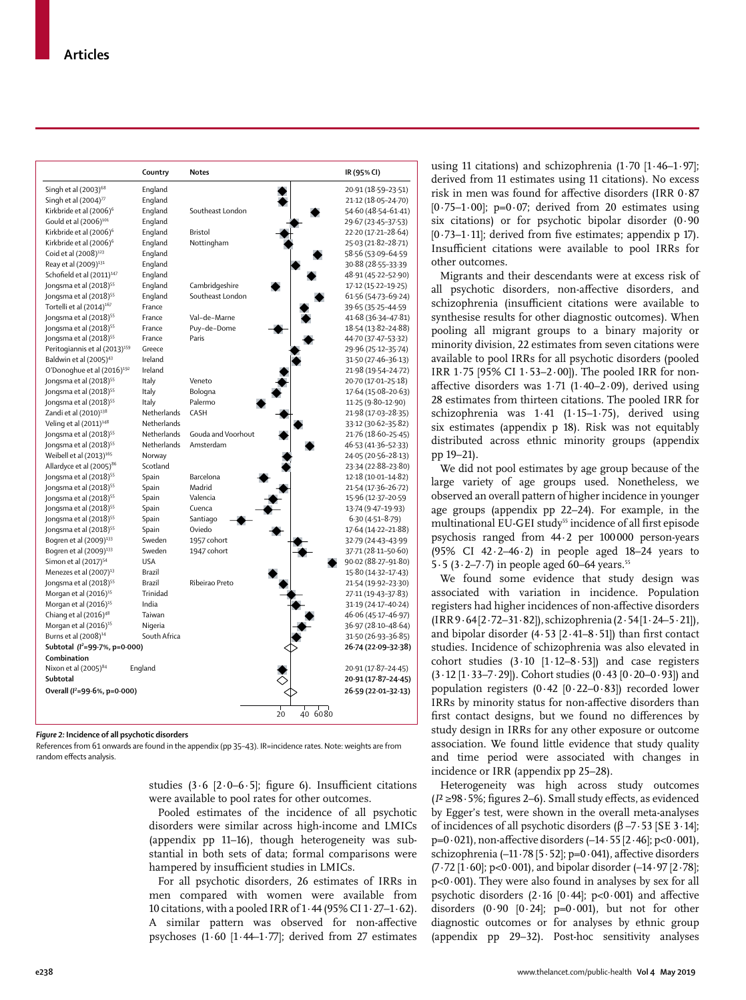|                                           | Country      | <b>Notes</b>                          | IR (95% CI)         |
|-------------------------------------------|--------------|---------------------------------------|---------------------|
| Singh et al (2003) <sup>68</sup>          | England      |                                       | 20.91 (18.59-23.51) |
| Singh et al $(2004)^{77}$                 | England      |                                       | 21.12 (18.05-24.70) |
| Kirkbride et al (2006) <sup>6</sup>       | England      | Southeast London                      | 54.60 (48.54-61.41) |
| Gould et al (2006) <sup>101</sup>         | England      |                                       | 29.67 (23.45-37.53) |
| Kirkbride et al (2006) <sup>6</sup>       | England      | Bristol                               | 22-20 (17-21-28-64) |
| Kirkbride et al (2006) <sup>6</sup>       | England      | Nottingham                            | 25.03 (21.82-28.71) |
| Coid et al (2008) <sup>123</sup>          | England      |                                       | 58.56 (53.09-64.59  |
| Reay et al (2009) <sup>131</sup>          | England      |                                       | 30.88 (28.55-33.39) |
| Schofield et al (2011) <sup>147</sup>     | England      |                                       | 48.91 (45.22-52.90) |
| Jongsma et al (2018) <sup>55</sup>        | England      | Cambridgeshire                        | 17.12 (15.22-19.25) |
| Jongsma et al (2018) <sup>55</sup>        | England      | Southeast London                      | 61.56 (54.73-69.24) |
| Tortelli et al (2014) <sup>167</sup>      | France       |                                       | 39.65 (35.25-44.59  |
| Jongsma et al (2018) <sup>55</sup>        | France       | Val-de-Marne                          | 41.68 (36.34-47.81) |
| Jongsma et al (2018) <sup>55</sup>        | France       | Puy-de-Dome                           | 18.54 (13.82-24.88) |
| Jongsma et al (2018) <sup>55</sup>        | France       | Paris                                 | 44.70 (37.47-53.32) |
| Peritogiannis et al (2013) <sup>159</sup> | Greece       |                                       | 29.96 (25.12-35.74) |
| Baldwin et al (2005) <sup>43</sup>        | Ireland      |                                       | 31.50 (27.46-36.13) |
| O'Donoghue et al (2016) <sup>192</sup>    | Ireland      |                                       | 21.98 (19.54-24.72) |
| Jongsma et al (2018) <sup>55</sup>        | Italy        | Veneto                                | 20.70 (17.01-25.18) |
| Jongsma et al (2018) <sup>55</sup>        | Italy        | Bologna                               | 17.64 (15.08-20.63) |
| Jongsma et al (2018) <sup>55</sup>        | Italy        | Palermo                               | 11.25 (9.80-12.90)  |
| Zandi et al (2010) <sup>138</sup>         | Netherlands  | CASH                                  | 21.98 (17.03-28.35) |
| Veling et al (2011) <sup>148</sup>        | Netherlands  |                                       | 33.12 (30.62-35.82) |
| Jongsma et al (2018) <sup>55</sup>        | Netherlands  | Gouda and Voorhout                    | 21.76 (18.60-25.45) |
| Jongsma et al (2018) <sup>55</sup>        | Netherlands  | Amsterdam                             | 46.53 (41.36-52.33) |
| Weibell et al (2013) <sup>165</sup>       | Norway       |                                       | 24.05 (20.56-28.13) |
| Allardyce et al (2005) <sup>86</sup>      | Scotland     |                                       | 23.34 (22.88-23.80) |
| Jongsma et al (2018) <sup>55</sup>        | Spain        | Barcelona                             | 12.18 (10.01-14.82) |
| Jongsma et al (2018) <sup>55</sup>        | Spain        | Madrid                                | 21.54 (17.36-26.72) |
| Jongsma et al (2018) <sup>55</sup>        | Spain        | Valencia                              | 15.96 (12.37-20.59  |
| Jongsma et al (2018) <sup>55</sup>        | Spain        | Cuenca                                | 13.74 (9.47-19.93)  |
| Jongsma et al (2018) <sup>55</sup>        | Spain        | Santiago                              | $6.30(4.51 - 8.79)$ |
| Jongsma et al (2018) <sup>55</sup>        | Spain        | Oviedo                                | 17.64 (14.22-21.88) |
| Bogren et al (2009) <sup>133</sup>        | Sweden       | 1957 cohort                           | 32.79 (24.43-43.99) |
| Bogren et al (2009) <sup>133</sup>        | Sweden       | 1947 cohort                           | 37.71 (28.11-50.60) |
| Simon et al (2017) <sup>54</sup>          | <b>USA</b>   |                                       | 90.02 (88.27-91.80) |
| Menezes et al (2007) <sup>13</sup>        | Brazil       |                                       | 15.80 (14.32-17.43) |
| Jongsma et al (2018) <sup>55</sup>        | Brazil       | Ribeirao Preto                        | 21.54 (19.92-23.30) |
| Morgan et al (2016) <sup>15</sup>         | Trinidad     |                                       | 27.11 (19.43-37.83) |
| Morgan et al (2016) <sup>15</sup>         | India        |                                       | 31.19 (24.17-40.24) |
| Chiang et al (2016) <sup>48</sup>         | Taiwan       |                                       | 46.06 (45.17-46.97) |
| Morgan et al (2016) <sup>15</sup>         | Nigeria      |                                       | 36.97 (28.10-48.64) |
| Burns et al (2008) <sup>14</sup>          | South Africa |                                       | 31.50 (26.93-36.85) |
| Subtotal $(l^2=99.7\% , p=0.000)$         |              |                                       | 26-74 (22-09-32-38) |
| Combination                               |              |                                       |                     |
| Nixon et al (2005) <sup>84</sup>          | England      |                                       | 20.91 (17.87-24.45) |
| Subtotal                                  |              |                                       | 20.91 (17.87-24.45) |
| Overall ( $I^2 = 99.6$ %, p=0.000)        |              |                                       | 26-59 (22-01-32-13) |
|                                           |              | $\frac{1}{20}$<br>$\frac{1}{40}$ 6080 |                     |

*Figure 2:* **Incidence of all psychotic disorders**

References from 61 onwards are found in the appendix (pp 35–43). IR=incidence rates. Note: weights are from random effects analysis.

> studies (3.6 [2.0–6.5]; figure 6). Insufficient citations were available to pool rates for other outcomes.

> Pooled estimates of the incidence of all psychotic disorders were similar across high-income and LMICs (appendix pp 11–16), though heterogeneity was substantial in both sets of data; formal comparisons were hampered by insufficient studies in LMICs.

> For all psychotic disorders, 26 estimates of IRRs in men compared with women were available from 10 citations, with a pooled IRR of 1·44 (95% CI 1·27–1·62). A similar pattern was observed for non-affective psychoses  $(1.60$   $[1.44-1.77]$ ; derived from 27 estimates

using 11 citations) and schizophrenia  $(1.70 \; [1.46-1.97];$ derived from 11 estimates using 11 citations). No excess risk in men was found for affective disorders (IRR 0·87  $[0.75-1.00]$ ; p=0.07; derived from 20 estimates using six citations) or for psychotic bipolar disorder (0·90  $[0.73-1.11]$ ; derived from five estimates; appendix p 17). Insufficient citations were available to pool IRRs for other outcomes.

Migrants and their descendants were at excess risk of all psychotic disorders, non-affective disorders, and schizophrenia (insufficient citations were available to synthesise results for other diagnostic outcomes). When pooling all migrant groups to a binary majority or minority division, 22 estimates from seven citations were available to pool IRRs for all psychotic disorders (pooled IRR 1·75 [95% CI 1·53–2·00]). The pooled IRR for nonaffective disorders was 1·71 (1·40–2·09), derived using 28 estimates from thirteen citations. The pooled IRR for schizophrenia was 1·41 (1·15–1·75), derived using six estimates (appendix p 18). Risk was not equitably distributed across ethnic minority groups (appendix pp 19–21).

We did not pool estimates by age group because of the large variety of age groups used. Nonetheless, we observed an overall pattern of higher incidence in younger age groups (appendix pp 22–24). For example, in the multinational EU-GEI study<sup>55</sup> incidence of all first episode psychosis ranged from 44·2 per 100000 person-years (95% CI 42·2–46·2) in people aged 18–24 years to 5 $-5$  (3 $-2$ -7 $-7$ ) in people aged 60–64 years.<sup>55</sup>

We found some evidence that study design was associated with variation in incidence. Population registers had higher incidences of non-affective disorders (IRR 9·64 [2·72–31·82]), schizophrenia (2·54 [1·24–5·21]), and bipolar disorder (4·53 [2·41–8·51]) than first contact studies. Incidence of schizophrenia was also elevated in cohort studies  $(3.10 [1.12-8.53])$  and case registers (3·12 [1·33–7·29]). Cohort studies (0·43 [0·20–0·93]) and population registers  $(0.42 \, [0.22-0.83])$  recorded lower IRRs by minority status for non-affective disorders than first contact designs, but we found no differences by study design in IRRs for any other exposure or outcome association. We found little evidence that study quality and time period were associated with changes in incidence or IRR (appendix pp 25–28).

Heterogeneity was high across study outcomes (*I*² ≥98·5%; figures 2–6). Small study effects, as evidenced by Egger's test, were shown in the overall meta-analyses of incidences of all psychotic disorders (β –7·53 [SE 3·14];  $p=0.021$ , non-affective disorders  $(-14.55 [2.46]; p<0.001)$ , schizophrenia (-11·78 [5·52]; p=0·041), affective disorders (7·72 [1·60]; p<0·001), and bipolar disorder (–14·97 [2·78];  $p<0.001$ ). They were also found in analyses by sex for all psychotic disorders  $(2.16 [0.44]; p<0.001)$  and affective disorders  $(0.90 \, [0.24]; \, p=0.001)$ , but not for other diagnostic outcomes or for analyses by ethnic group (appendix pp 29–32). Post-hoc sensitivity analyses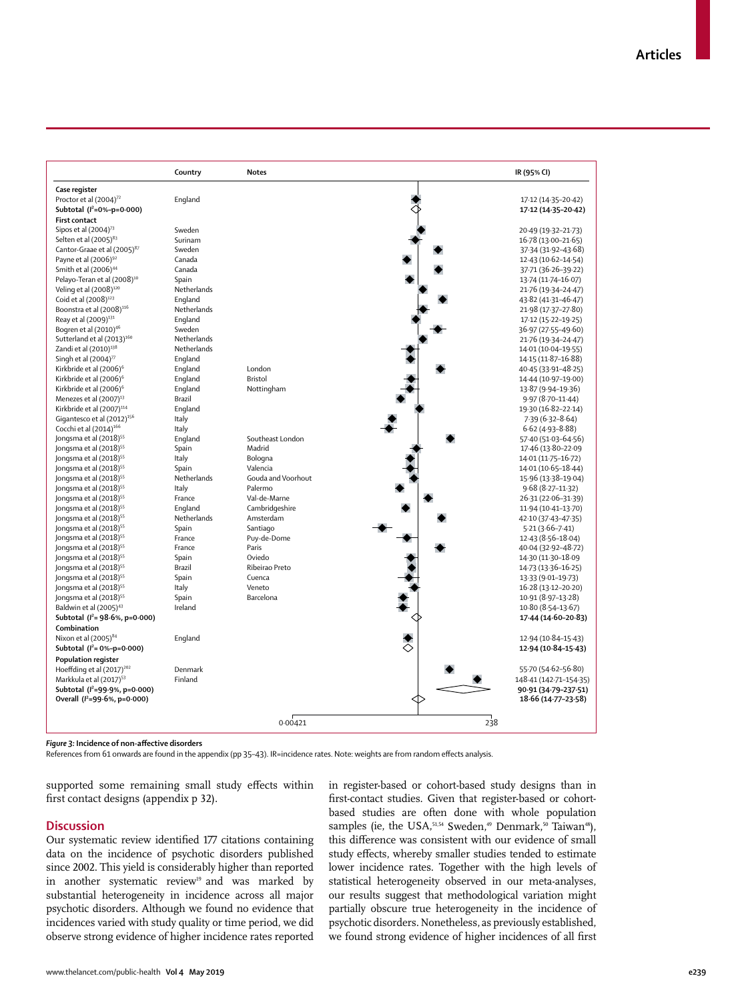|                                         | Country     | <b>Notes</b>       | IR (95% CI)              |
|-----------------------------------------|-------------|--------------------|--------------------------|
| Case register                           |             |                    |                          |
| Proctor et al (2004) <sup>72</sup>      | England     |                    | 17.12 (14.35-20.42)      |
| Subtotal $(l^2=0\% - p=0.000)$          |             |                    | 17-12 (14-35-20-42)      |
| <b>First contact</b>                    |             |                    |                          |
| Sipos et al $(2004)^{73}$               | Sweden      |                    | 20.49 (19.32-21.73)      |
| Selten et al (2005) <sup>83</sup>       | Surinam     |                    | 16.78 (13.00-21.65)      |
| Cantor-Graae et al (2005) <sup>87</sup> | Sweden      |                    | 37.34 (31.92-43.68)      |
| Payne et al (2006) <sup>92</sup>        | Canada      |                    | 12-43 (10-62-14-54)      |
| Smith et al (2006) <sup>44</sup>        | Canada      |                    | 37.71 (36.26-39.22)      |
| Pelayo-Teran et al (2008) <sup>10</sup> | Spain       |                    | 13.74 (11.74-16.07)      |
| Veling et al (2008) <sup>120</sup>      | Netherlands |                    | 21.76 (19.34-24.47)      |
| Coid et al (2008) <sup>123</sup>        | England     |                    | 43.82 (41.31-46.47)      |
| Boonstra et al (2008) <sup>116</sup>    | Netherlands |                    | 21.98 (17.37-27.80)      |
| Reay et al (2009) <sup>131</sup>        | England     |                    | 17-12 (15-22-19-25)      |
| Bogren et al (2010) <sup>46</sup>       | Sweden      |                    | 36.97 (27.55-49.60)      |
| Sutterland et al (2013) <sup>160</sup>  | Netherlands |                    | 21.76 (19.34-24.47)      |
| Zandi et al (2010) <sup>138</sup>       | Netherlands |                    | 14.01 (10.04-19.55)      |
| Singh et al $(2004)^{77}$               | England     |                    | 14.15 (11.87-16.88)      |
| Kirkbride et al (2006) <sup>6</sup>     | England     | London             | $40.45(33.91 - 48.25)$   |
| Kirkbride et al (2006) <sup>6</sup>     | England     | Bristol            | 14.44 (10.97-19.00)      |
| Kirkbride et al (2006) <sup>6</sup>     | England     | Nottingham         | 13.87 (9.94-19.36)       |
| Menezes et al (2007) <sup>13</sup>      | Brazil      |                    | $9.97(8.70-11.44)$       |
| Kirkbride et al (2007) <sup>114</sup>   | England     |                    |                          |
| Gigantesco et al (2012) <sup>156</sup>  |             |                    | 19.30 (16.82-22.14)      |
|                                         | Italy       |                    | $7.39(6.32 - 8.64)$      |
| Cocchi et al (2014) <sup>166</sup>      | Italy       | Southeast London   | $6.62(4.93 - 8.88)$      |
| Jongsma et al (2018) <sup>55</sup>      | England     | Madrid             | 57-40 (51-03-64-56)      |
| Jongsma et al (2018) <sup>55</sup>      | Spain       |                    | 17.46 (13.80-22.09       |
| Jongsma et al (2018) <sup>55</sup>      | Italy       | Bologna            | 14.01 (11.75-16.72)      |
| Jongsma et al (2018) <sup>55</sup>      | Spain       | Valencia           | 14.01 (10.65-18.44)      |
| Jongsma et al (2018) <sup>55</sup>      | Netherlands | Gouda and Voorhout | 15.96 (13.38-19.04)      |
| Jongsma et al (2018) <sup>55</sup>      | Italy       | Palermo            | $9.68(8.27-11.32)$       |
| Jongsma et al (2018) <sup>55</sup>      | France      | Val-de-Marne       | 26-31 (22-06-31-39)      |
| Jongsma et al (2018) <sup>55</sup>      | England     | Cambridgeshire     | 11.94 (10.41-13.70)      |
| Jongsma et al (2018) <sup>55</sup>      | Netherlands | Amsterdam          | 42.10 (37.43-47.35)      |
| Jongsma et al (2018) <sup>55</sup>      | Spain       | Santiago           | $5.21(3.66 - 7.41)$      |
| Jongsma et al (2018) <sup>55</sup>      | France      | Puy-de-Dome        | $12.43(8.56-18.04)$      |
| Jongsma et al (2018) <sup>55</sup>      | France      | Paris              | 40.04 (32.92-48.72)      |
| Jongsma et al (2018) <sup>55</sup>      | Spain       | Oviedo             | 14.30 (11.30-18.09       |
| Jongsma et al (2018) <sup>55</sup>      | Brazil      | Ribeirao Preto     | 14.73 (13.36-16.25)      |
| Jongsma et al (2018) <sup>55</sup>      | Spain       | Cuenca             | 13.33 (9.01-19.73)       |
| Jongsma et al (2018) <sup>55</sup>      | Italy       | Veneto             | 16.28 (13.12-20.20)      |
| Jongsma et al (2018) <sup>55</sup>      | Spain       | Barcelona          | 10.91 (8.97-13.28)       |
| Baldwin et al (2005) <sup>43</sup>      | Ireland     |                    | 10.80 (8.54-13.67)       |
| Subtotal $(l^2 = 98.6\% , p=0.000)$     |             |                    | 17.44 (14.60-20.83)      |
| Combination                             |             |                    |                          |
| Nixon et al $(2005)^{84}$               | England     |                    | 12.94 (10.84-15.43)      |
| Subtotal ( $l^2$ = 0%-p=0.000)          |             |                    | ◇<br>12.94 (10.84-15.43) |
| Population register                     |             |                    |                          |
| Hoeffding et al (2017) <sup>202</sup>   | Denmark     |                    | 55.70 (54.62-56.80)      |
| Markkula et al (2017) <sup>53</sup>     | Finland     |                    | 148.41 (142.71-154.35)   |
| Subtotal ( $l^2$ =99.9%, p=0.000)       |             |                    | 90-91 (34-79-237-51)     |
| Overall ( $l^2$ =99.6%, p=0.000)        |             |                    | 18.66 (14.77-23.58)      |
|                                         |             |                    |                          |
|                                         |             |                    |                          |
|                                         |             | 0.00421            | 238                      |

*Figure 3:* **Incidence of non-affective disorders**

References from 61 onwards are found in the appendix (pp 35–43). IR=incidence rates. Note: weights are from random effects analysis.

supported some remaining small study effects within first contact designs (appendix p 32).

## **Discussion**

Our systematic review identified 177 citations containing data on the incidence of psychotic disorders published since 2002. This yield is considerably higher than reported in another systematic review<sup>19</sup> and was marked by substantial heterogeneity in incidence across all major psychotic disorders. Although we found no evidence that incidences varied with study quality or time period, we did observe strong evidence of higher incidence rates reported

in register-based or cohort-based study designs than in first-contact studies. Given that register-based or cohortbased studies are often done with whole population samples (ie, the USA,<sup>51,54</sup> Sweden,<sup>49</sup> Denmark,<sup>50</sup> Taiwan<sup>48</sup>), this difference was consistent with our evidence of small study effects, whereby smaller studies tended to estimate lower incidence rates. Together with the high levels of statistical heterogeneity observed in our meta-analyses, our results suggest that methodological variation might partially obscure true heterogeneity in the incidence of psychotic disorders. Nonetheless, as previously established, we found strong evidence of higher incidences of all first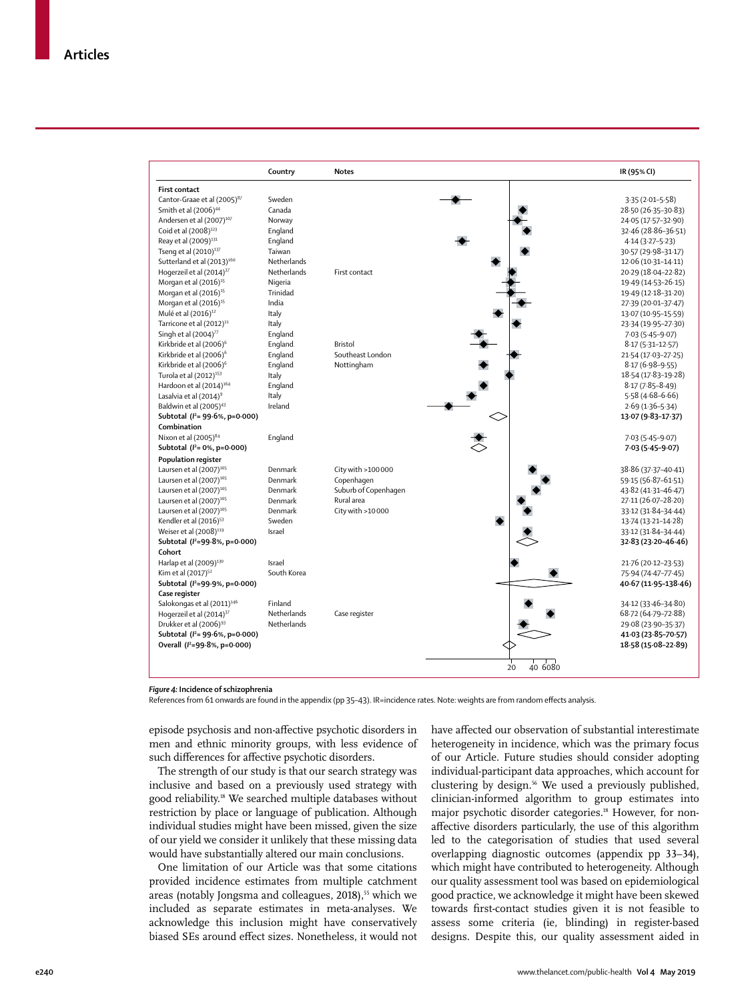|                                         | Country            | <b>Notes</b>         | IR (95% CI)          |
|-----------------------------------------|--------------------|----------------------|----------------------|
| <b>First contact</b>                    |                    |                      |                      |
| Cantor-Graae et al (2005) <sup>87</sup> | Sweden             |                      | $3.35(2.01 - 5.58)$  |
| Smith et al (2006) <sup>44</sup>        | Canada             |                      | 28.50 (26.35-30.83)  |
| Andersen et al (2007) <sup>107</sup>    | Norway             |                      | 24.05 (17.57-32.90)  |
| Coid et al (2008) <sup>123</sup>        | England            |                      | 32.46 (28.86-36.51)  |
| Reay et al (2009) <sup>131</sup>        | England            |                      | $4.14(3.27 - 5.23)$  |
| Tseng et al (2010) <sup>137</sup>       | Taiwan             |                      | 30.57 (29.98-31.17)  |
| Sutterland et al (2013) <sup>160</sup>  | <b>Netherlands</b> |                      | 12.06 (10.31-14.11)  |
| Hogerzeil et al (2014) <sup>37</sup>    | Netherlands        | First contact        | 20.29 (18.04-22.82)  |
| Morgan et al (2016) <sup>15</sup>       | Nigeria            |                      | 19.49 (14.53-26.15)  |
| Morgan et al (2016) <sup>15</sup>       | Trinidad           |                      | 19.49 (12.18-31.20)  |
| Morgan et al (2016) <sup>15</sup>       | India              |                      | 27.39 (20.01-37.47)  |
| Mulé et al (2016) <sup>12</sup>         | Italy              |                      | 13.07 (10.95-15.59)  |
| Tarricone et al (2012) <sup>11</sup>    | Italy              |                      | 23-34 (19-95-27-30)  |
| Singh et al (2004) <sup>77</sup>        | England            |                      | $7.03(5.45-9.07)$    |
| Kirkbride et al (2006) <sup>6</sup>     | England            | Bristol              | $8.17(5.31 - 12.57)$ |
| Kirkbride et al (2006) <sup>6</sup>     | England            | Southeast London     | 21.54 (17.03-27.25)  |
| Kirkbride et al (2006) <sup>6</sup>     | England            | Nottingham           | $8.17(6.98-9.55)$    |
| Turola et al (2012) <sup>153</sup>      | Italy              |                      | 18.54 (17.83-19.28)  |
| Hardoon et al (2014) <sup>164</sup>     | England            |                      | $8.17(7.85 - 8.49)$  |
| Lasalvia et al (2014) <sup>9</sup>      | Italy              |                      | $5.58(4.68 - 6.66)$  |
| Baldwin et al (2005) <sup>43</sup>      | Ireland            |                      | $2.69(1.36 - 5.34)$  |
| Subtotal $(l^2 = 99.6\% , p=0.000)$     |                    |                      | 13.07 (9.83-17.37)   |
| Combination                             |                    |                      |                      |
| Nixon et al (2005) <sup>84</sup>        | England            |                      | $7.03(5.45-9.07)$    |
| Subtotal $(l^2 = 0\%, p = 0.000)$       |                    |                      | 7 03 (5 45 - 9 07)   |
| <b>Population register</b>              |                    |                      |                      |
|                                         | Denmark            |                      |                      |
| Laursen et al (2007) <sup>105</sup>     | Denmark            | City with >100000    | 38.86 (37.37-40.41)  |
| Laursen et al (2007) <sup>105</sup>     | Denmark            | Copenhagen           | 59.15 (56.87-61.51)  |
| Laursen et al (2007) <sup>105</sup>     | Denmark            | Suburb of Copenhagen | 43.82 (41.31-46.47)  |
| Laursen et al (2007) <sup>105</sup>     |                    | Rural area           | 27.11 (26.07-28.20)  |
| Laursen et al (2007) <sup>105</sup>     | Denmark            | City with >10000     | 33.12 (31.84-34.44)  |
| Kendler et al (2016) <sup>53</sup>      | Sweden<br>Israel   |                      | 13.74 (13.21-14.28)  |
| Weiser et al (2008) <sup>119</sup>      |                    |                      | 33.12 (31.84-34.44)  |
| Subtotal ( $l^2$ =99.8%, p=0.000)       |                    |                      | 32-83 (23-20-46-46)  |
| Cohort                                  |                    |                      |                      |
| Harlap et al (2009) <sup>130</sup>      | Israel             |                      | 21.76 (20.12-23.53)  |
| Kim et al (2017) <sup>52</sup>          | South Korea        |                      | 75.94 (74.47-77.45)  |
| Subtotal ( $l^2$ =99.9%, p=0.000)       |                    |                      | 40.67 (11.95-138.46) |
| Case register                           |                    |                      |                      |
| Salokongas et al (2011) <sup>146</sup>  | Finland            |                      | 34.12 (33.46-34.80)  |
| Hogerzeil et al (2014) <sup>37</sup>    | Netherlands        | Case register        | 68.72 (64.79-72.88)  |
| Drukker et al (2006) <sup>93</sup>      | Netherlands        |                      | 29.08 (23.90-35.37)  |
| Subtotal $(l^2 = 99.6\% , p=0.000)$     |                    |                      | 41.03 (23.85-70.57)  |
| Overall ( $l^2$ =99.8%, p=0.000)        |                    |                      | 18-58 (15-08-22-89)  |
|                                         |                    |                      |                      |
|                                         |                    |                      | 40 6080<br>20        |

*Figure 4:* **Incidence of schizophrenia**

References from 61 onwards are found in the appendix (pp 35–43). IR=incidence rates. Note: weights are from random effects analysis.

episode psychosis and non-affective psychotic disorders in men and ethnic minority groups, with less evidence of such differences for affective psychotic disorders.

The strength of our study is that our search strategy was inclusive and based on a previously used strategy with good reliability.18 We searched multiple databases without restriction by place or language of publication. Although individual studies might have been missed, given the size of our yield we consider it unlikely that these missing data would have substantially altered our main conclusions.

One limitation of our Article was that some citations provided incidence estimates from multiple catchment areas (notably Jongsma and colleagues, 2018),<sup>55</sup> which we included as separate estimates in meta-analyses. We acknowledge this inclusion might have conservatively biased SEs around effect sizes. Nonetheless, it would not have affected our observation of substantial interestimate heterogeneity in incidence, which was the primary focus of our Article. Future studies should consider adopting individual-participant data approaches, which account for clustering by design.<sup>56</sup> We used a previously published, clinician-informed algorithm to group estimates into major psychotic disorder categories.<sup>18</sup> However, for nonaffective disorders particularly, the use of this algorithm led to the categorisation of studies that used several overlapping diagnostic outcomes (appendix pp 33–34), which might have contributed to heterogeneity. Although our quality assessment tool was based on epidemiological good practice, we acknowledge it might have been skewed towards first-contact studies given it is not feasible to assess some criteria (ie, blinding) in register-based designs. Despite this, our quality assessment aided in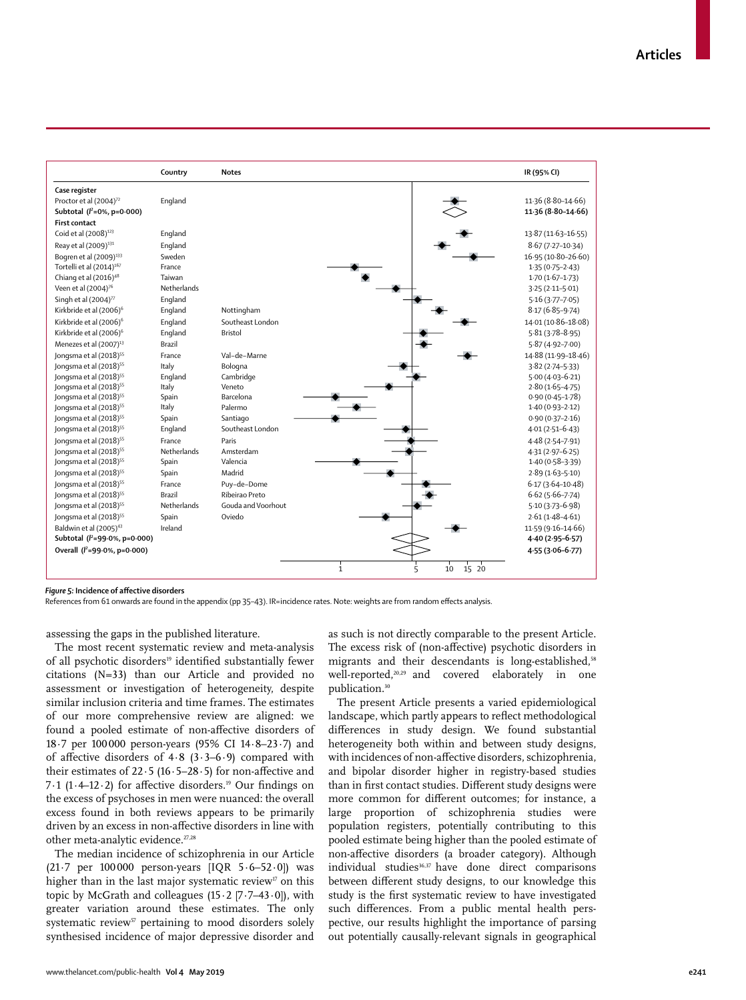|                                      | Country       | <b>Notes</b>       | IR (95% CI)          |
|--------------------------------------|---------------|--------------------|----------------------|
| Case register                        |               |                    |                      |
| Proctor et al (2004) <sup>72</sup>   | England       |                    | 11.36 (8.80-14.66)   |
| Subtotal $(l^2=0\%, p=0.000)$        |               |                    | 11.36 (8.80-14.66)   |
| <b>First contact</b>                 |               |                    |                      |
| Coid et al (2008) <sup>123</sup>     | England       |                    | 13.87 (11.63-16.55)  |
| Reay et al (2009) <sup>131</sup>     | England       |                    | $8.67(7.27 - 10.34)$ |
| Bogren et al (2009) <sup>133</sup>   | Sweden        |                    | 16.95 (10.80-26.60)  |
| Tortelli et al (2014) <sup>167</sup> | France        |                    | $1.35(0.75 - 2.43)$  |
| Chiang et al (2016) <sup>48</sup>    | Taiwan        |                    | $1.70(1.67-1.73)$    |
| Veen et al (2004) <sup>76</sup>      | Netherlands   |                    | $3.25(2.11 - 5.01)$  |
| Singh et al (2004) <sup>77</sup>     | England       |                    | $5.16(3.77 - 7.05)$  |
| Kirkbride et al (2006) <sup>6</sup>  | England       | Nottingham         | $8.17(6.85 - 9.74)$  |
| Kirkbride et al (2006) <sup>6</sup>  | England       | Southeast London   | 14.01 (10.86-18.08)  |
| Kirkbride et al (2006) <sup>6</sup>  | England       | <b>Bristol</b>     | $5.81(3.78 - 8.95)$  |
| Menezes et al (2007) <sup>13</sup>   | <b>Brazil</b> |                    | $5.87(4.92 - 7.00)$  |
| Jongsma et al (2018) <sup>55</sup>   | France        | Val-de-Marne       | 14.88 (11.99-18.46)  |
| Jongsma et al (2018) <sup>55</sup>   | Italy         | Bologna            | $3.82(2.74 - 5.33)$  |
| Jongsma et al (2018) <sup>55</sup>   | England       | Cambridge          | $5.00(4.03 - 6.21)$  |
| Jongsma et al (2018) <sup>55</sup>   | Italy         | Veneto             | $2.80(1.65 - 4.75)$  |
| Jongsma et al (2018) <sup>55</sup>   | Spain         | Barcelona          | $0.90(0.45 - 1.78)$  |
| Jongsma et al (2018) <sup>55</sup>   | Italy         | Palermo            | $1.40(0.93 - 2.12)$  |
| Jongsma et al (2018) <sup>55</sup>   | Spain         | Santiago           | $0.90(0.37 - 2.16)$  |
| Jongsma et al (2018) <sup>55</sup>   | England       | Southeast London   | $4.01(2.51-6.43)$    |
| Jongsma et al (2018) <sup>55</sup>   | France        | Paris              | $4.48(2.54 - 7.91)$  |
| Jongsma et al (2018) <sup>55</sup>   | Netherlands   | Amsterdam          | $4.31(2.97 - 6.25)$  |
| Jongsma et al (2018) <sup>55</sup>   | Spain         | Valencia           | $1.40(0.58 - 3.39)$  |
| Jongsma et al (2018) <sup>55</sup>   | Spain         | Madrid             | $2.89(1.63 - 5.10)$  |
| Jongsma et al (2018) <sup>55</sup>   | France        | Puy-de-Dome        | $6.17(3.64 - 10.48)$ |
| Jongsma et al (2018) <sup>55</sup>   | <b>Brazil</b> | Ribeirao Preto     | $6.62(5.66 - 7.74)$  |
| Jongsma et al (2018) <sup>55</sup>   | Netherlands   | Gouda and Voorhout | $5.10(3.73 - 6.98)$  |
| Jongsma et al (2018) <sup>55</sup>   | Spain         | Oviedo             | $2.61(1.48 - 4.61)$  |
| Baldwin et al (2005) <sup>43</sup>   | Ireland       |                    | 11.59 (9.16-14.66)   |
| Subtotal ( $l^2$ =99.0%, p=0.000)    |               |                    | $4.40(2.95 - 6.57)$  |
| Overall ( $P=99.0\%$ , p=0.000)      |               |                    | 4.55 (3.06-6.77)     |
|                                      |               | $\mathbf{1}$<br>5  | 10<br>15 20          |

#### *Figure 5:* **Incidence of affective disorders**

References from 61 onwards are found in the appendix (pp 35–43). IR=incidence rates. Note: weights are from random effects analysis.

assessing the gaps in the published literature.

The most recent systematic review and meta-analysis of all psychotic disorders<sup>19</sup> identified substantially fewer citations (N=33) than our Article and provided no assessment or investigation of heterogeneity, despite similar inclusion criteria and time frames. The estimates of our more comprehensive review are aligned: we found a pooled estimate of non-affective disorders of 18·7 per 100 000 person-years (95% CI 14·8–23·7) and of affective disorders of  $4.8$  ( $3.3-6.9$ ) compared with their estimates of 22·5 (16·5–28·5) for non-affective and 7·1 (1·4–12·2) for affective disorders.19 Our findings on the excess of psychoses in men were nuanced: the overall excess found in both reviews appears to be primarily driven by an excess in non-affective disorders in line with other meta-analytic evidence.<sup>27,28</sup>

The median incidence of schizophrenia in our Article (21.7 per  $100000$  person-years [IQR  $5.6-52.0$ ]) was higher than in the last major systematic review<sup>17</sup> on this topic by McGrath and colleagues  $(15 \cdot 2 [7 \cdot 7 - 43 \cdot 0])$ , with greater variation around these estimates. The only systematic review<sup>57</sup> pertaining to mood disorders solely synthesised incidence of major depressive disorder and as such is not directly comparable to the present Article. The excess risk of (non-affective) psychotic disorders in migrants and their descendants is long-established,<sup>58</sup> well-reported,<sup>20,29</sup> and covered elaborately in one publication.30

The present Article presents a varied epidemiological landscape, which partly appears to reflect methodological differences in study design. We found substantial heterogeneity both within and between study designs. with incidences of non-affective disorders, schizophrenia, and bipolar disorder higher in registry-based studies than in first contact studies. Different study designs were more common for different outcomes; for instance, a large proportion of schizophrenia studies were population registers, potentially contributing to this pooled estimate being higher than the pooled estimate of non-affective disorders (a broader category). Although individual studies $36,37$  have done direct comparisons between different study designs, to our knowledge this study is the first systematic review to have investigated such differences. From a public mental health perspective, our results highlight the importance of parsing out potentially causally-relevant signals in geographical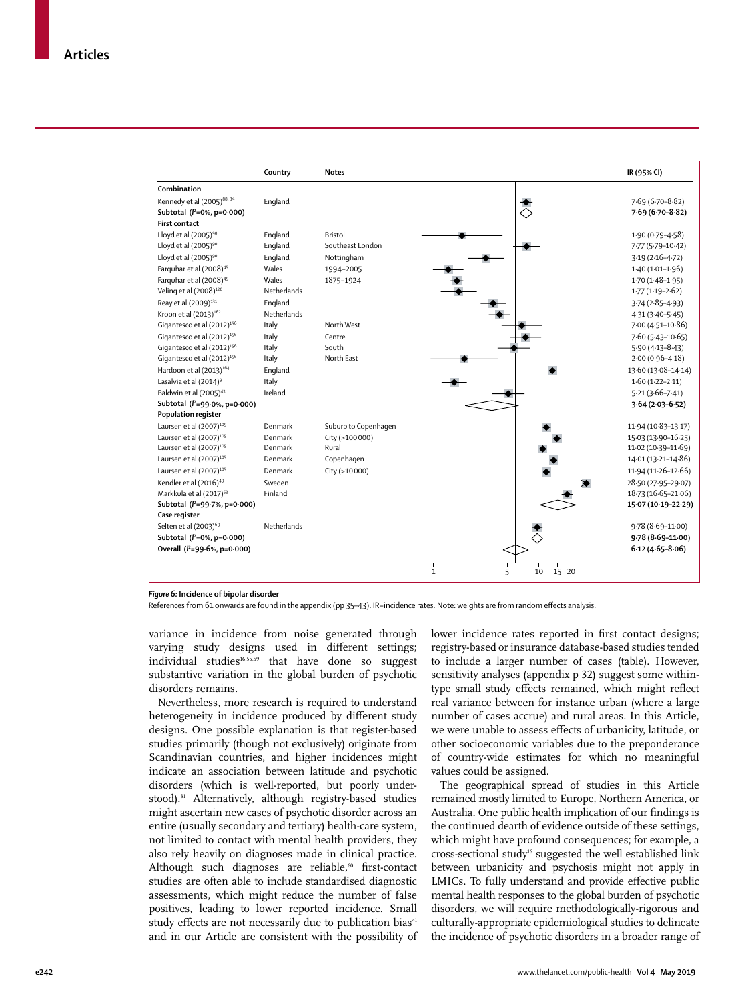

*Figure 6:* **Incidence of bipolar disorder**

References from 61 onwards are found in the appendix (pp 35–43). IR=incidence rates. Note: weights are from random effects analysis.

variance in incidence from noise generated through varying study designs used in different settings; individual studies<sup>16,55,59</sup> that have done so suggest substantive variation in the global burden of psychotic disorders remains.

Nevertheless, more research is required to understand heterogeneity in incidence produced by different study designs. One possible explanation is that register-based studies primarily (though not exclusively) originate from Scandinavian countries, and higher incidences might indicate an association between latitude and psychotic disorders (which is well-reported, but poorly understood).<sup>31</sup> Alternatively, although registry-based studies might ascertain new cases of psychotic disorder across an entire (usually secondary and tertiary) health-care system, not limited to contact with mental health providers, they also rely heavily on diagnoses made in clinical practice. Although such diagnoses are reliable,<sup>60</sup> first-contact studies are often able to include standardised diagnostic assessments, which might reduce the number of false positives, leading to lower reported incidence. Small study effects are not necessarily due to publication bias<sup>41</sup> and in our Article are consistent with the possibility of lower incidence rates reported in first contact designs; registry-based or insurance database-based studies tended to include a larger number of cases (table). However, sensitivity analyses (appendix p 32) suggest some withintype small study effects remained, which might reflect real variance between for instance urban (where a large number of cases accrue) and rural areas. In this Article, we were unable to assess effects of urbanicity, latitude, or other socioeconomic variables due to the preponderance of country-wide estimates for which no meaningful values could be assigned.

The geographical spread of studies in this Article remained mostly limited to Europe, Northern America, or Australia. One public health implication of our findings is the continued dearth of evidence outside of these settings, which might have profound consequences; for example, a cross-sectional study16 suggested the well established link between urbanicity and psychosis might not apply in LMICs. To fully understand and provide effective public mental health responses to the global burden of psychotic disorders, we will require methodologically-rigorous and culturally-appropriate epidemiological studies to delineate the incidence of psychotic disorders in a broader range of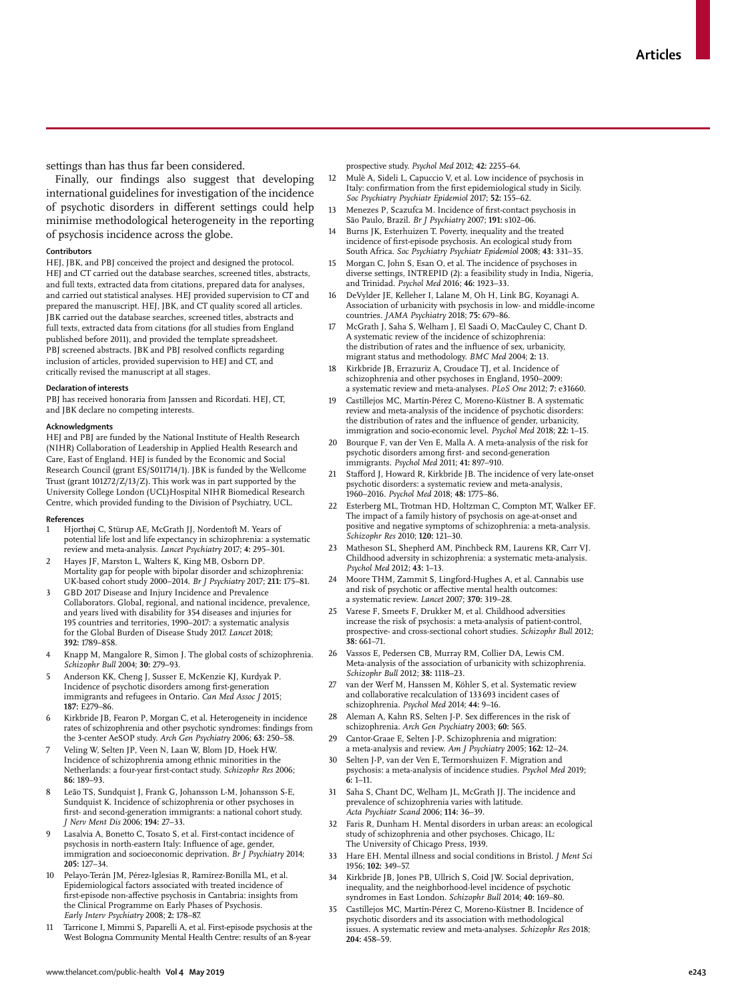settings than has thus far been considered.

Finally, our findings also suggest that developing international guidelines for investigation of the incidence of psychotic disorders in different settings could help minimise methodological heterogeneity in the reporting of psychosis incidence across the globe.

## **Contributors**

HEJ, JBK, and PBJ conceived the project and designed the protocol. HEJ and CT carried out the database searches, screened titles, abstracts, and full texts, extracted data from citations, prepared data for analyses, and carried out statistical analyses. HEJ provided supervision to CT and prepared the manuscript. HEJ, JBK, and CT quality scored all articles. JBK carried out the database searches, screened titles, abstracts and full texts, extracted data from citations (for all studies from England published before 2011), and provided the template spreadsheet. PBJ screened abstracts. JBK and PBJ resolved conflicts regarding inclusion of articles, provided supervision to HEJ and CT, and critically revised the manuscript at all stages.

#### **Declaration of interests**

PBJ has received honoraria from Janssen and Ricordati. HEJ, CT, and JBK declare no competing interests.

#### **Acknowledgments**

HEJ and PBJ are funded by the National Institute of Health Research (NIHR) Collaboration of Leadership in Applied Health Research and Care, East of England. HEJ is funded by the Economic and Social Research Council (grant ES/S011714/1). JBK is funded by the Wellcome Trust (grant 101272/Z/13/Z). This work was in part supported by the University College London (UCL)Hospital NIHR Biomedical Research Centre, which provided funding to the Division of Psychiatry, UCL.

#### **References**

- Hjorthøj C, Stürup AE, McGrath JJ, Nordentoft M. Years of potential life lost and life expectancy in schizophrenia: a systematic review and meta-analysis. *Lancet Psychiatry* 2017; **4:** 295–301.
- 2 Hayes JF, Marston L, Walters K, King MB, Osborn DP. Mortality gap for people with bipolar disorder and schizophrenia: UK-based cohort study 2000–2014. *Br J Psychiatry* 2017; **211:** 175–81.
- GBD 2017 Disease and Injury Incidence and Prevalence Collaborators. Global, regional, and national incidence, prevalence, and years lived with disability for 354 diseases and injuries for 195 countries and territories, 1990–2017: a systematic analysis for the Global Burden of Disease Study 2017. *Lancet* 2018; **392:** 1789–858.
- Knapp M, Mangalore R, Simon J. The global costs of schizophrenia. *Schizophr Bull* 2004; **30:** 279–93.
- 5 Anderson KK, Cheng J, Susser E, McKenzie KJ, Kurdyak P. Incidence of psychotic disorders among first-generation immigrants and refugees in Ontario. *Can Med Assoc J* 2015; **187:** E279–86.
- 6 Kirkbride JB, Fearon P, Morgan C, et al. Heterogeneity in incidence rates of schizophrenia and other psychotic syndromes: findings from the 3-center AeSOP study. *Arch Gen Psychiatry* 2006; **63:** 250–58.
- 7 Veling W, Selten JP, Veen N, Laan W, Blom JD, Hoek HW. Incidence of schizophrenia among ethnic minorities in the Netherlands: a four-year first-contact study. *Schizophr Res* 2006; **86:** 189–93.
- Leão TS, Sundquist J, Frank G, Johansson L-M, Johansson S-E, Sundquist K. Incidence of schizophrenia or other psychoses in first- and second-generation immigrants: a national cohort study. *J Nerv Ment Dis* 2006; **194:** 27–33.
- Lasalvia A, Bonetto C, Tosato S, et al. First-contact incidence of psychosis in north-eastern Italy: Influence of age, gender, immigration and socioeconomic deprivation. *Br J Psychiatry* 2014; **205:** 127–34.
- 10 Pelayo-Terán JM, Pérez-Iglesias R, Ramírez-Bonilla ML, et al. Epidemiological factors associated with treated incidence of first-episode non-affective psychosis in Cantabria: insights from the Clinical Programme on Early Phases of Psychosis. *Early Interv Psychiatry* 2008; **2:** 178–87.
- 11 Tarricone I, Mimmi S, Paparelli A, et al. First-episode psychosis at the West Bologna Community Mental Health Centre: results of an 8-year

prospective study. *Psychol Med* 2012; **42:** 2255–64.

- 12 Mulè A, Sideli L, Capuccio V, et al. Low incidence of psychosis in Italy: confirmation from the first epidemiological study in Sicily. *Soc Psychiatry Psychiatr Epidemiol* 2017; **52:** 155–62.
- Menezes P, Scazufca M. Incidence of first-contact psychosis in São Paulo, Brazil. *Br J Psychiatry* 2007; **191:** s102–06.
- 14 Burns JK, Esterhuizen T. Poverty, inequality and the treated incidence of first-episode psychosis. An ecological study from South Africa. *Soc Psychiatry Psychiatr Epidemiol* 2008; **43:** 331–35.
- Morgan C, John S, Esan O, et al. The incidence of psychoses in diverse settings, INTREPID (2): a feasibility study in India, Nigeria, and Trinidad. *Psychol Med* 2016; **46:** 1923–33.
- 16 DeVylder JE, Kelleher I, Lalane M, Oh H, Link BG, Koyanagi A. Association of urbanicity with psychosis in low- and middle-income countries. *JAMA Psychiatry* 2018; **75:** 679–86.
- 17 McGrath J, Saha S, Welham J, El Saadi O, MacCauley C, Chant D. A systematic review of the incidence of schizophrenia: the distribution of rates and the influence of sex, urbanicity, migrant status and methodology. *BMC Med* 2004; **2:** 13.
- 18 Kirkbride JB, Errazuriz A, Croudace TJ, et al. Incidence of schizophrenia and other psychoses in England, 1950–2009: a systematic review and meta-analyses. *PLoS One* 2012; **7:** e31660.
- 19 Castillejos MC, Martín-Pérez C, Moreno-Küstner B. A systematic review and meta-analysis of the incidence of psychotic disorders: the distribution of rates and the influence of gender, urbanicity, immigration and socio-economic level. *Psychol Med* 2018; **22:** 1–15.
- 20 Bourque F, van der Ven E, Malla A. A meta-analysis of the risk for psychotic disorders among first- and second-generation immigrants. *Psychol Med* 2011; **41:** 897–910.
- 21 Stafford J, Howard R, Kirkbride JB. The incidence of very late-onset psychotic disorders: a systematic review and meta-analysis, 1960–2016. *Psychol Med* 2018; **48:** 1775–86.
- Esterberg ML, Trotman HD, Holtzman C, Compton MT, Walker EF. The impact of a family history of psychosis on age-at-onset and positive and negative symptoms of schizophrenia: a meta-analysis. *Schizophr Res* 2010; **120:** 121–30.
- 23 Matheson SL, Shepherd AM, Pinchbeck RM, Laurens KR, Carr VJ. Childhood adversity in schizophrenia: a systematic meta-analysis. *Psychol Med* 2012; **43:** 1–13.
- 24 Moore THM, Zammit S, Lingford-Hughes A, et al. Cannabis use and risk of psychotic or affective mental health outcomes: a systematic review. *Lancet* 2007; **370:** 319–28.
- 25 Varese F, Smeets F, Drukker M, et al. Childhood adversities increase the risk of psychosis: a meta-analysis of patient-control, prospective- and cross-sectional cohort studies. *Schizophr Bull* 2012; **38:** 661–71.
- 26 Vassos E, Pedersen CB, Murray RM, Collier DA, Lewis CM. Meta-analysis of the association of urbanicity with schizophrenia. *Schizophr Bull* 2012; **38:** 1118–23.
- 27 van der Werf M, Hanssen M, Köhler S, et al. Systematic review and collaborative recalculation of 133 693 incident cases of schizophrenia. *Psychol Med* 2014; **44:** 9–16.
- Aleman A, Kahn RS, Selten J-P. Sex differences in the risk of schizophrenia. *Arch Gen Psychiatry* 2003; **60:** 565.
- 29 Cantor-Graae E, Selten J-P. Schizophrenia and migration: a meta-analysis and review. *Am J Psychiatry* 2005; **162:** 12–24.
- 30 Selten J-P, van der Ven E, Termorshuizen F. Migration and psychosis: a meta-analysis of incidence studies. *Psychol Med* 2019; **6:** 1–11.
- 31 Saha S, Chant DC, Welham JL, McGrath JJ. The incidence and prevalence of schizophrenia varies with latitude. *Acta Psychiatr Scand* 2006; **114:** 36–39.
- 32 Faris R, Dunham H. Mental disorders in urban areas: an ecological study of schizophrenia and other psychoses. Chicago, IL: The University of Chicago Press, 1939.
- 33 Hare EH. Mental illness and social conditions in Bristol. *J Ment Sci* 1956; **102:** 349–57.
- 34 Kirkbride JB, Jones PB, Ullrich S, Coid JW. Social deprivation, inequality, and the neighborhood-level incidence of psychotic syndromes in East London. *Schizophr Bull* 2014; **40:** 169–80.
- 35 Castillejos MC, Martín-Pérez C, Moreno-Küstner B. Incidence of psychotic disorders and its association with methodological issues. A systematic review and meta-analyses. *Schizophr Res* 2018; **204:** 458–59.